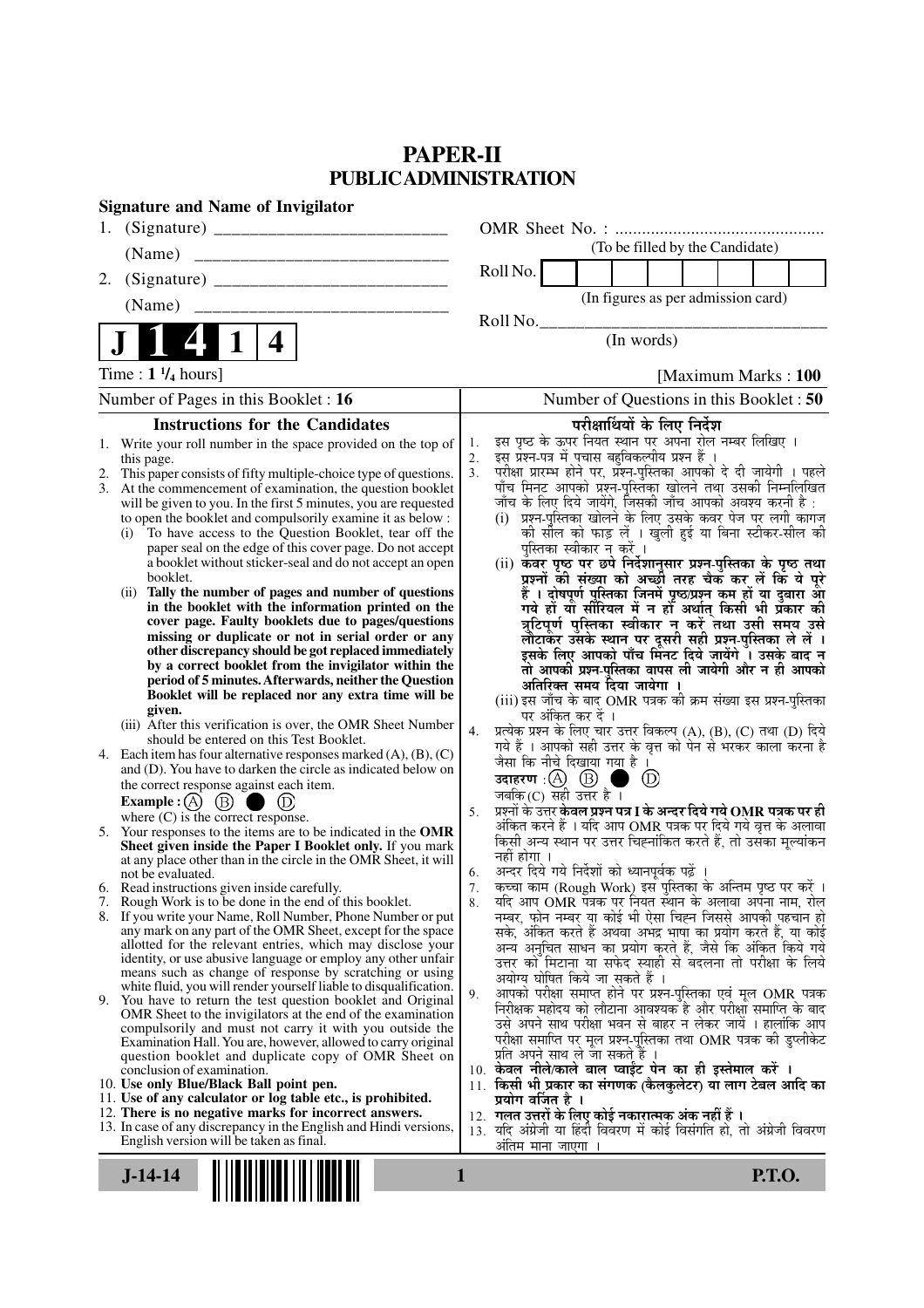# **PAPER-II PUBLIC ADMINISTRATION**

| <b>Signature and Name of Invigilator</b>                                                                                                    |   |                      |                                                                                                                          |                   |                                                                                                                       |               |                      |               |  |
|---------------------------------------------------------------------------------------------------------------------------------------------|---|----------------------|--------------------------------------------------------------------------------------------------------------------------|-------------------|-----------------------------------------------------------------------------------------------------------------------|---------------|----------------------|---------------|--|
| 1.                                                                                                                                          |   |                      |                                                                                                                          |                   |                                                                                                                       |               |                      |               |  |
| (Name)                                                                                                                                      |   |                      |                                                                                                                          |                   | (To be filled by the Candidate)                                                                                       |               |                      |               |  |
| 2.                                                                                                                                          |   |                      | Roll No.                                                                                                                 |                   |                                                                                                                       |               |                      |               |  |
| (Name)                                                                                                                                      |   |                      |                                                                                                                          |                   | (In figures as per admission card)                                                                                    |               |                      |               |  |
|                                                                                                                                             |   |                      | Roll No.                                                                                                                 |                   |                                                                                                                       |               |                      |               |  |
| 4                                                                                                                                           |   |                      |                                                                                                                          |                   | (In words)                                                                                                            |               |                      |               |  |
| Time: $1\frac{1}{4}$ hours]                                                                                                                 |   |                      |                                                                                                                          |                   |                                                                                                                       |               | [Maximum Marks: 100] |               |  |
| Number of Pages in this Booklet: 16                                                                                                         |   |                      |                                                                                                                          |                   | Number of Questions in this Booklet : 50                                                                              |               |                      |               |  |
| <b>Instructions for the Candidates</b>                                                                                                      |   |                      |                                                                                                                          |                   | परीक्षार्थियों के लिए निर्देश                                                                                         |               |                      |               |  |
| 1. Write your roll number in the space provided on the top of                                                                               |   | 1.                   | इस पृष्ठ के ऊपर नियत स्थान पर अपना रोल नम्बर लिखिए ।                                                                     |                   |                                                                                                                       |               |                      |               |  |
| this page.                                                                                                                                  |   | 2.<br>3 <sub>1</sub> | इस् प्रश्न-पत्र में पचास बहुविकल्पीय प्रश्न हैं।<br>परीक्षा प्रारम्भ होने पर, प्रॅश्नू-पुस्तिका आपको दे दी जायेगी । पहले |                   |                                                                                                                       |               |                      |               |  |
| This paper consists of fifty multiple-choice type of questions.<br>2.<br>At the commencement of examination, the question booklet<br>3.     |   |                      | पाँच मिनट आपको प्रश्न-पुस्तिका खोलने तथा उसकी निम्नलिखित                                                                 |                   |                                                                                                                       |               |                      |               |  |
| will be given to you. In the first 5 minutes, you are requested                                                                             |   |                      | जाँच के लिए दिये जायेंगे, जिसकी जाँच आपको अवश्य करनी है :                                                                |                   |                                                                                                                       |               |                      |               |  |
| to open the booklet and compulsorily examine it as below :                                                                                  |   |                      | (i) प्रश्न-पुस्तिका खोलने के लिए उसके कवर पेज पर लगी कागज                                                                |                   |                                                                                                                       |               |                      |               |  |
| To have access to the Question Booklet, tear off the<br>(i)                                                                                 |   |                      |                                                                                                                          |                   | को सौल को फाड़ लें । खुली हुई या बिना स्टीकर-सील की<br>पुस्तिका स्वीकार न करें ।                                      |               |                      |               |  |
| paper seal on the edge of this cover page. Do not accept<br>a booklet without sticker-seal and do not accept an open                        |   |                      | (ii) कवर पृष्ठ पर छपे निर्देशानुसार प्रश्न-पुस्तिका के पृष्ठ तथा                                                         |                   |                                                                                                                       |               |                      |               |  |
| booklet.                                                                                                                                    |   |                      |                                                                                                                          |                   | प्रश्नों की संख्या को अच्छों तरह चैक कर लें कि ये पूरे                                                                |               |                      |               |  |
| Tally the number of pages and number of questions<br>(ii)                                                                                   |   |                      |                                                                                                                          |                   | हैं । दोषपूर्ण पुस्तिका जिनमें पृष्ठ⁄प्रश्न कम हों या दुबारा आ<br>गये हो या सीरियल में न हो अर्थात् किसी भी प्रकार की |               |                      |               |  |
| in the booklet with the information printed on the<br>cover page. Faulty booklets due to pages/questions                                    |   |                      |                                                                                                                          |                   |                                                                                                                       |               |                      |               |  |
| missing or duplicate or not in serial order or any                                                                                          |   |                      |                                                                                                                          |                   | त्रुटिपूर्ण पुस्तिका स्वीकार न करें तथा उसी समय उसे<br>लौटाकेंर उसके स्थान पर दूसरी सही प्रश्न-पुस्तिका ले लें ।      |               |                      |               |  |
| other discrepancy should be got replaced immediately                                                                                        |   |                      |                                                                                                                          |                   | इसके लिए आपको पाँच मिंनट दिये जायेंगे । उसके बाद न                                                                    |               |                      |               |  |
| by a correct booklet from the invigilator within the                                                                                        |   |                      |                                                                                                                          |                   | तो आपकी प्रश्न-पुस्तिका वापस ली जायेगी और न ही आपको                                                                   |               |                      |               |  |
| period of 5 minutes. Afterwards, neither the Question<br>Booklet will be replaced nor any extra time will be                                |   |                      |                                                                                                                          |                   | अतिरिक्त समय दिया जायेगा                                                                                              |               |                      |               |  |
| given.                                                                                                                                      |   |                      | (iii) इस जाँच के बाद OMR पत्रक की क्रम संख्या इस प्रश्न-पुस्तिका                                                         | पर अंकित कर दें । |                                                                                                                       |               |                      |               |  |
| (iii) After this verification is over, the OMR Sheet Number                                                                                 |   | 4.                   | प्रत्येक प्रश्न के लिए चार उत्तर विकल्प (A), (B), (C) तथा (D) दिये                                                       |                   |                                                                                                                       |               |                      |               |  |
| should be entered on this Test Booklet.                                                                                                     |   |                      | गये हैं । आपको सही उत्तर के वृत्त को पेन से भरकर काला करना है                                                            |                   |                                                                                                                       |               |                      |               |  |
| Each item has four alternative responses marked $(A)$ , $(B)$ , $(C)$<br>4.<br>and (D). You have to darken the circle as indicated below on |   |                      | जैसा कि नीचे दिखाया गया है।                                                                                              |                   |                                                                                                                       |               |                      |               |  |
| the correct response against each item.                                                                                                     |   |                      | उदाहरण: $(A)$ $(B)$                                                                                                      |                   |                                                                                                                       | $\circled{D}$ |                      |               |  |
| <b>Example:</b> (A) $(B)$<br>$\left(\mathrm{D}\right)$                                                                                      |   |                      | जबकि (C) सही उत्तर है $\overline{1}$                                                                                     |                   |                                                                                                                       |               |                      |               |  |
| where $(C)$ is the correct response.                                                                                                        |   | 5.                   | प्रश्नों के उत्तर <b>केवल प्रश्न पत्र I के अन्दर दिये गये OMR पत्रक पर ही</b>                                            |                   | अंकित करने हैं । यदि आप OMR पत्रक पर दिये गये वृत्त के अलावा                                                          |               |                      |               |  |
| Your responses to the items are to be indicated in the OMR<br>5.                                                                            |   |                      | किसी अन्य स्थान पर उत्तर चिह्नांकित करते हैं, तो उसका मूल्यांकन                                                          |                   |                                                                                                                       |               |                      |               |  |
| Sheet given inside the Paper I Booklet only. If you mark<br>at any place other than in the circle in the OMR Sheet, it will                 |   |                      | नहीं होगा ।                                                                                                              |                   |                                                                                                                       |               |                      |               |  |
| not be evaluated.                                                                                                                           |   | 6.                   | अन्दर दिये गये निर्देशों को ध्यानपूर्वक पढ़ें                                                                            |                   |                                                                                                                       |               |                      |               |  |
| 6. Read instructions given inside carefully.                                                                                                |   | 7.                   | कच्चा काम (Rough Work) इस पुस्तिका के अन्तिम पृष्ठ पर करें ।                                                             |                   |                                                                                                                       |               |                      |               |  |
| 7. Rough Work is to be done in the end of this booklet.<br>8. If you write your Name, Roll Number, Phone Number or put                      |   | 8.                   | यदि आप OMR पत्रक पर नियत स्थान के अलावा अपना नाम, रोल<br>नम्बर, फोन नम्बर या कोई भी ऐसा चिह्न जिससे आपकी पहचान हो        |                   |                                                                                                                       |               |                      |               |  |
| any mark on any part of the OMR Sheet, except for the space                                                                                 |   |                      | सके, अंकित करते हैं अथवा अभद्र भाषा का प्रयोग करते हैं, या कोई                                                           |                   |                                                                                                                       |               |                      |               |  |
| allotted for the relevant entries, which may disclose your                                                                                  |   |                      |                                                                                                                          |                   | अन्य अनुचित साधन का प्रयोग करते हैं, जैसे कि अंकित किये गये                                                           |               |                      |               |  |
| identity, or use abusive language or employ any other unfair<br>means such as change of response by scratching or using                     |   |                      | उत्तर को मिटाना या सफेद स्याही से बदलना तो परीक्षा के लिये                                                               |                   |                                                                                                                       |               |                      |               |  |
| white fluid, you will render yourself liable to disqualification.                                                                           |   |                      |                                                                                                                          |                   | अयोग्य घोषित किये जा सकते हैं ।                                                                                       |               |                      |               |  |
| 9. You have to return the test question booklet and Original                                                                                |   | 9.                   | निरीक्षक महोदय को लौटाना आवश्यक है और परीक्षा समाप्ति के बाद                                                             |                   | आपको परीक्षा समाप्त होने पर प्रश्न-पुस्तिका एवं मूल OMR पत्रक                                                         |               |                      |               |  |
| OMR Sheet to the invigilators at the end of the examination<br>compulsorily and must not carry it with you outside the                      |   |                      | उसे अपने साथ परीक्षा भवन से बाहर न लेकर जायें । हालांकि आप                                                               |                   |                                                                                                                       |               |                      |               |  |
| Examination Hall. You are, however, allowed to carry original                                                                               |   |                      | परीक्षा समाप्ति पर मूल प्रश्न-पुस्तिका तथा OMR पत्रक की डुप्लीकेट                                                        |                   |                                                                                                                       |               |                      |               |  |
| question booklet and duplicate copy of OMR Sheet on                                                                                         |   |                      | प्रति अपने साथ ले जा सकते है ।                                                                                           |                   |                                                                                                                       |               |                      |               |  |
| conclusion of examination.<br>10. Use only Blue/Black Ball point pen.                                                                       |   |                      | 10. केवल नीले/काले बाल प्वाईंट पेन का ही इस्तेमाल करें ।<br>11. किसी भी प्रकार का संगणक (कैलकुलेटर) या लाग टेबल आदि का   |                   |                                                                                                                       |               |                      |               |  |
| 11. Use of any calculator or log table etc., is prohibited.                                                                                 |   |                      | प्रयोग वर्जित है ।                                                                                                       |                   |                                                                                                                       |               |                      |               |  |
| 12. There is no negative marks for incorrect answers.                                                                                       |   |                      | 12. गलत उत्तरों के लिए कोई नकारात्मक अंक नहीं हैं ।                                                                      |                   |                                                                                                                       |               |                      |               |  |
| 13. In case of any discrepancy in the English and Hindi versions,<br>English version will be taken as final.                                |   |                      | 13. यदि अंग्रेजी या हिंदी विवरण में कोई विसंगति हो, तो अंग्रेजी विवरण                                                    |                   |                                                                                                                       |               |                      |               |  |
|                                                                                                                                             |   |                      | अंतिम माना जाएगा                                                                                                         |                   |                                                                                                                       |               |                      |               |  |
| $J-14-14$                                                                                                                                   | 1 |                      |                                                                                                                          |                   |                                                                                                                       |               |                      | <b>P.T.O.</b> |  |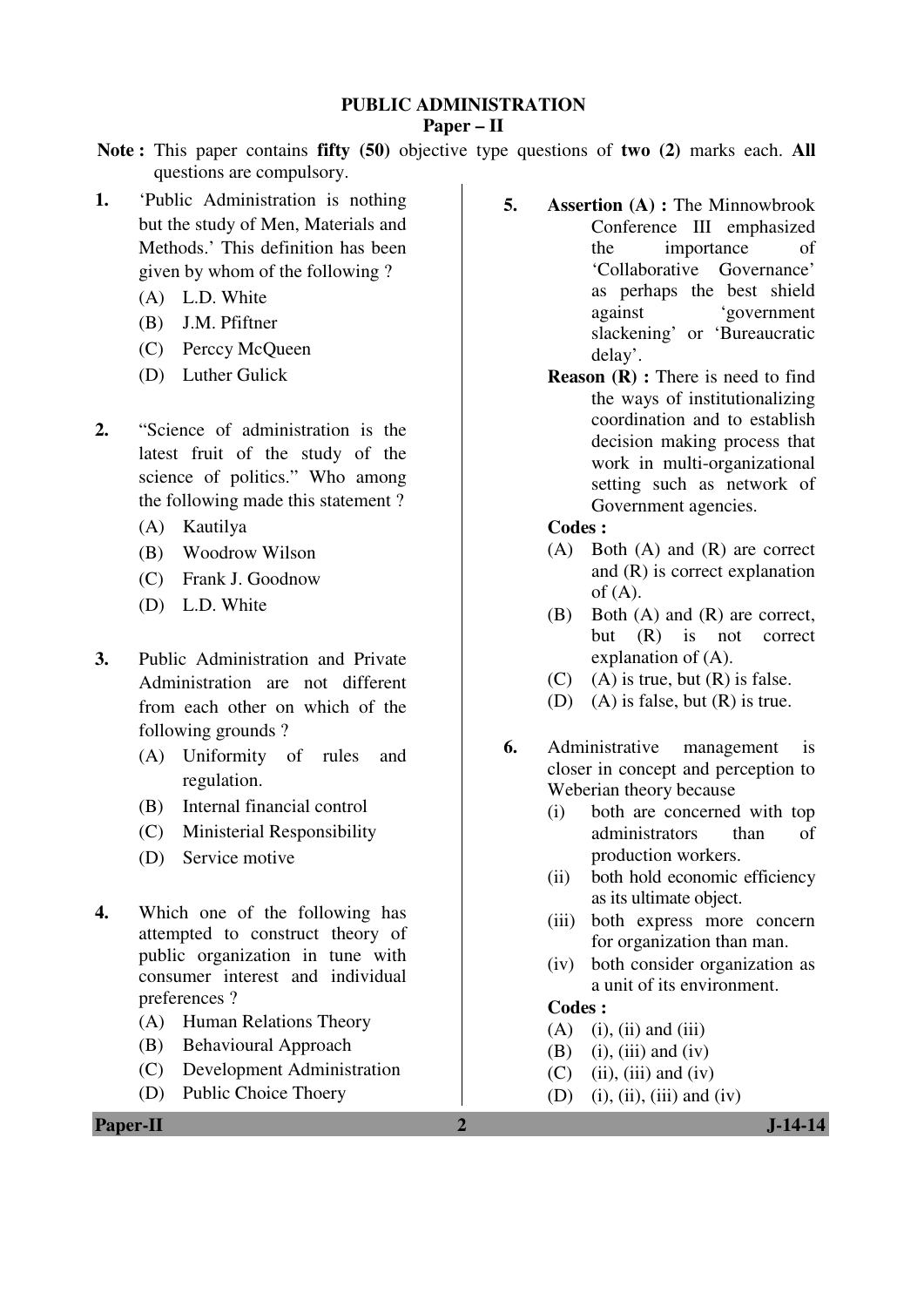# **PUBLIC ADMINISTRATION**

#### **Paper – II**

**Note :** This paper contains **fifty (50)** objective type questions of **two (2)** marks each. **All** questions are compulsory.

- **1.** 'Public Administration is nothing but the study of Men, Materials and Methods.' This definition has been given by whom of the following ?
	- (A) L.D. White
	- (B) J.M. Pfiftner
	- (C) Perccy McQueen
	- (D) Luther Gulick
- **2.** "Science of administration is the latest fruit of the study of the science of politics." Who among the following made this statement ?
	- (A) Kautilya
	- (B) Woodrow Wilson
	- (C) Frank J. Goodnow
	- (D) L.D. White
- **3.** Public Administration and Private Administration are not different from each other on which of the following grounds ?
	- (A) Uniformity of rules and regulation.
	- (B) Internal financial control
	- (C) Ministerial Responsibility
	- (D) Service motive
- **4.** Which one of the following has attempted to construct theory of public organization in tune with consumer interest and individual preferences ?
	- (A) Human Relations Theory
	- (B) Behavioural Approach
	- (C) Development Administration
	- (D) Public Choice Thoery
- **5. Assertion (A) :** The Minnowbrook Conference III emphasized the importance of 'Collaborative Governance' as perhaps the best shield against 'government slackening' or 'Bureaucratic delay'.
	- **Reason (R) :** There is need to find the ways of institutionalizing coordination and to establish decision making process that work in multi-organizational setting such as network of Government agencies.

# **Codes :**

- (A) Both (A) and (R) are correct and (R) is correct explanation of  $(A)$ .
- (B) Both (A) and (R) are correct, but (R) is not correct explanation of (A).
- $(C)$  (A) is true, but  $(R)$  is false.
- (D) (A) is false, but (R) is true.
- **6.** Administrative management is closer in concept and perception to Weberian theory because
	- (i) both are concerned with top administrators than of production workers.
	- (ii) both hold economic efficiency as its ultimate object.
	- (iii) both express more concern for organization than man.
	- (iv) both consider organization as a unit of its environment.

# **Codes :**

- $(A)$  (i), (ii) and (iii)
- $(B)$  (i), (iii) and (iv)
- $(C)$  (ii), (iii) and (iv)
- (D) (i), (ii), (iii) and (iv)

**Paper-II 2 J-14-14**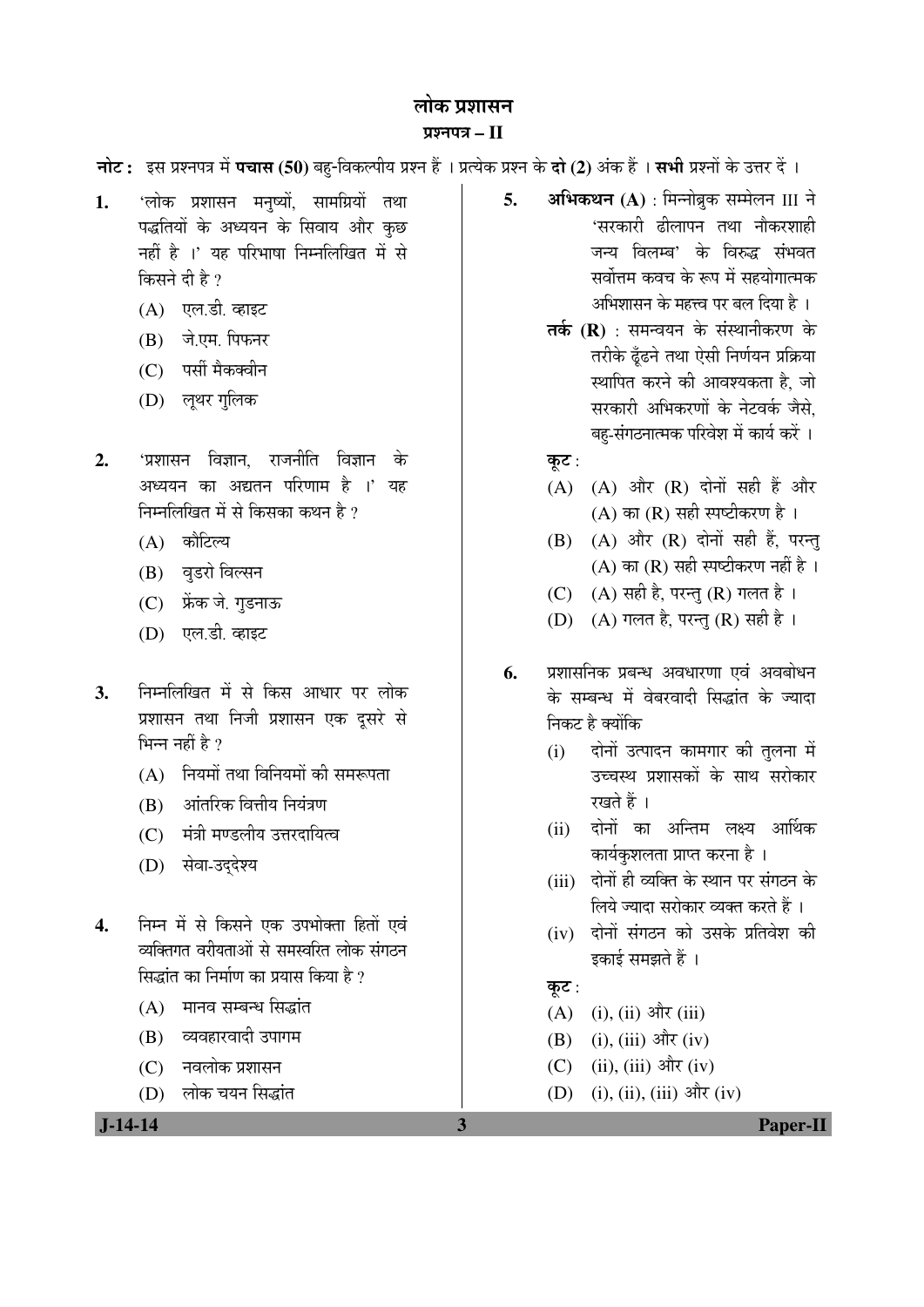### लोक प्रशासन ¯ÖÏ¿®Ö¯Ö¡Ö **– II**

**नोट:** इस प्रश्नपत्र में **पचास (50)** बहु-विकल्पीय प्रश्न हैं । प्रत्येक प्रश्न के **दो (2)** अंक हैं । सभी प्रश्नों के उत्तर दें ।

- 1. 'लोक प्रशासन मनुष्यों, सामग्रियों तथा पद्धतियों के अध्ययन के सिवाय और कछ नहीं है ।' यह परिभाषा निम्नलिखित में से किसने दी है $2$ 
	- (A) एल.डी. व्हाइट
	- (B) जे.एम. पिफनर
	- (C) पर्सी मैकक्वीन
	- (D) लृथर गुलिक
- **2.** 'प्रशासन विज्ञान, राजनीति विज्ञान के अध्ययन का अद्यतन परिणाम है ।' यह निम्नलिखित में से किसका कथन है ?
	- (A) कौटिल्य
	- (B) वुडरो विल्सन
	- (C) फ्रेंक जे. गुडनाऊ
	- (D) एल.डी. व्हाइट
- **3.** ×®Ö´®Ö×»Ö×ÜÖŸÖ ´Öë ÃÖê ×ÛúÃÖ †Ö¬ÖÖ¸ü ¯Ö¸ü »ÖÖêÛú प्रशासन तथा निजी प्रशासन एक दूसरे से भिन्न नहीं है  $\theta$ 
	- $(A)$  नियमों तथा विनियमों की समरूपता
	- (B) आंतरिक वित्तीय नियंत्रण
	- (C) मंत्री मण्डलीय उत्तरदायित्व
	- (D) सेवा-उद्देश्य
- 4. निम्न में से किसने एक उपभोक्ता हितों एवं व्यक्तिगत वरीयताओं से समस्वरित लोक संगठन सिद्धांत का निर्माण का प्रयास किया है ?
	- $(A)$  गमनव सम्बन्ध सिद्धांत
	- (B) व्यवहारवादी उपागम
	- (C) नवलोक प्रशासन
	- (D) लोक चयन सिद्धांत

**5. अभिकथन (A)** : मिन्नोब्रुक सम्मेलन III ने 'सरकारी ढीलापन तथा नौकरशाह<u>ी</u> जन्य विलम्ब' के विरुद्ध संभवत सर्वोत्तम कवच के रूप में सहयोगात्मक अभिशासन के महत्त्व पर बल दिया है ।

- **तर्क (R)** : समन्वयन के संस्थानीकरण के तरीके ढूँढने तथा ऐसी निर्णयन प्रक्रिया स्थापित करने की आवश्यकता है, जो सरकारी अभिकरणों के नेटवर्क जैसे. बह-संगठनात्मक परिवेश में कार्य करें ।
- कूट:
- $(A)$   $(A)$  और  $(R)$  दोनों सही हैं और (A) का  $(R)$  सही स्पष्टीकरण है ।
- $(B)$   $(A)$  और  $(R)$  दोनों सही हैं, परन्तु (A) का (R) सही स्पष्टीकरण नहीं है।
- (C)  $(A)$  सही है, परन्तु (R) गलत है।
- (D)  $(A)$  गलत है, परन्तु (R) सही है।
- 6. प्रशासनिक प्रबन्ध अवधारणा एवं अवबोधन के सम्बन्ध में वेबरवादी सिद्धांत के ज्यादा निकट है क्योंकि
	- (i) दोनों उत्पादन कामगार की तुलना में उच्चस्थ प्रशासकों के साथ सरोकार रखते हैं ।
	- (ii) दोनों का अन्तिम लक्ष्य आर्थिक कार्यकुशलता प्राप्त करना है ।
	- (iii) दोनों ही व्यक्ति के स्थान पर संगठन के लिये ज्यादा सरोकार व्यक्त करते हैं ।
	- (iv) दोनों संगठन को उसके प्रतिवेश की इकाई समझते हैं ।
	- कूट :
	- $(A)$  (i), (ii) और (iii)
	- (B) (i), (iii) और (iv)
	- (C) (ii), (iii) और (iv)
	- (D) (i), (ii), (iii) और (iv)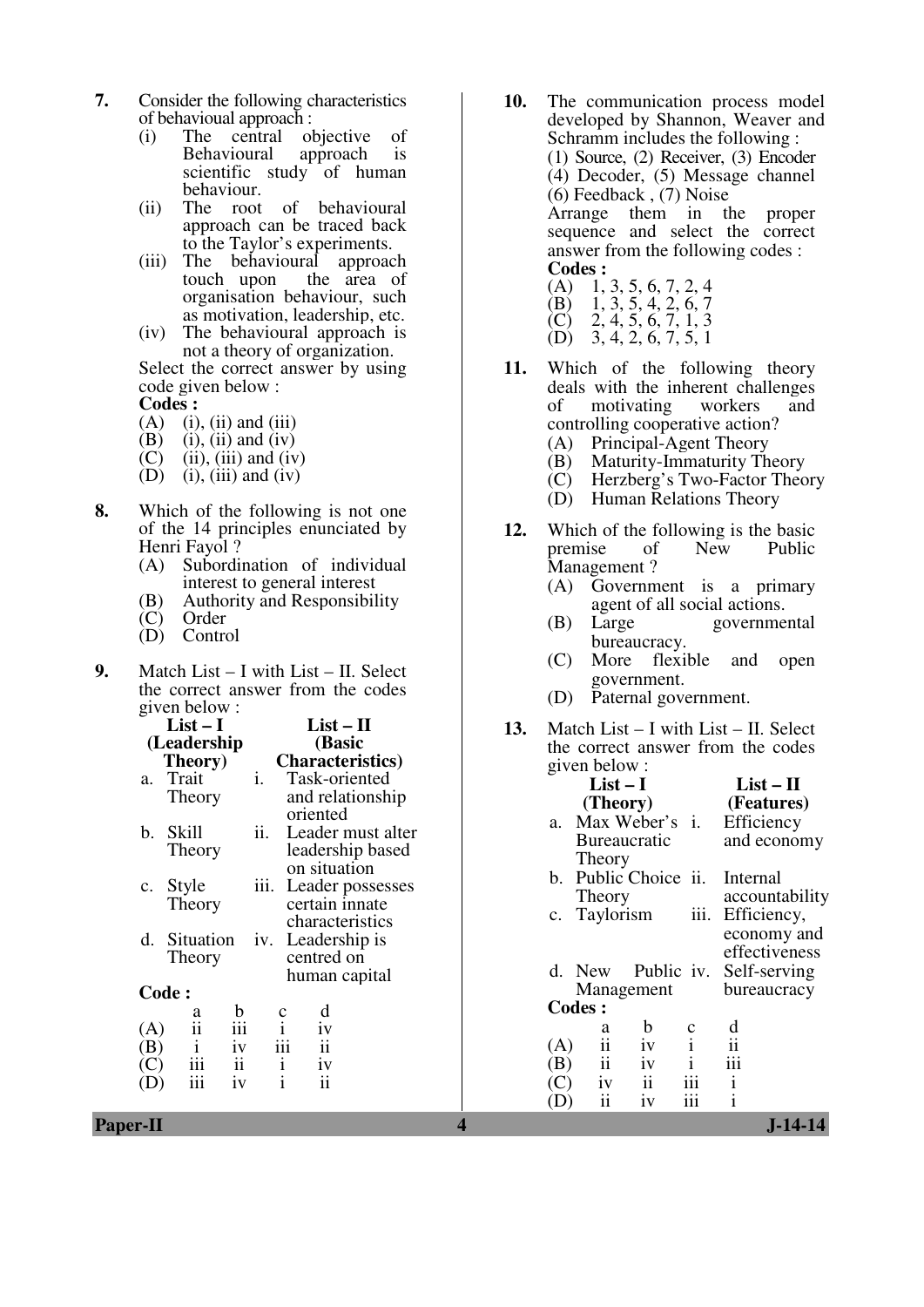- **7.** Consider the following characteristics of behavioual approach :
	- (i) The central objective of Behavioural approach is Behavioural approach is scientific study of human behaviour.
	- (ii) The root of behavioural approach can be traced back to the Taylor's experiments.
- (iii) The behavioural approach touch upon the area of organisation behaviour, such as motivation, leadership, etc.
	- (iv) The behavioural approach is not a theory of organization.

 Select the correct answer by using code given below :

**Codes :** 

- (A) (i), (ii) and (iii)<br>(B) (i), (ii) and (iv)
- (B) (i), (ii) and (iv)<br>(C) (ii), (iii) and (iv)
- $(ii)$ ,  $(iii)$  and  $(iv)$
- (D) (i), (iii) and (iv)
- **8.** Which of the following is not one of the 14 principles enunciated by Henri Fayol ?
	- (A) Subordination of individual interest to general interest
	- (B) Authority and Responsibility<br>(C) Order
	- **Order**
	- (D) Control
- **9.** Match List I with List II. Select the correct answer from the codes given below :

|                | $List-I$           |      | List – II                |
|----------------|--------------------|------|--------------------------|
|                | (Leadership        |      | (Basic                   |
|                | Theory)            |      | <b>Characteristics</b> ) |
| a.             | Trait              | i.   | Task-oriented            |
|                | Theory             |      | and relationship         |
|                |                    |      | oriented                 |
| b.             | Skill              | ii.  | Leader must alter        |
|                | Theory             |      | leadership based         |
|                |                    |      | on situation             |
| $\mathbf{c}$ . | Style              | iii. | Leader possesses         |
|                | Theory             |      | certain innate           |
|                |                    |      | characteristics          |
|                | d. Situation       | IV.  | Leadership is            |
|                | Theory             |      | centred on               |
|                |                    |      | human capital            |
|                | <b>Code:</b>       |      |                          |
|                | b<br>а             |      | d                        |
| (A)            | ii<br>iii          |      | iv                       |
| $\mathbf{B}$   | $\mathbf{i}$<br>iv |      | iii<br>$\ddot{\rm n}$    |
|                | ii<br>iii          |      | $\frac{i}{i}$<br>iv      |
|                | iv                 |      | ii                       |
|                |                    |      |                          |

- **10.** The communication process model developed by Shannon, Weaver and Schramm includes the following : (1) Source, (2) Receiver, (3) Encoder (4) Decoder, (5) Message channel (6) Feedback , (7) Noise Arrange them in the proper sequence and select the correct answer from the following codes : **Codes :** (A) 1, 3, 5, 6, 7, 2, 4
- (B) 1, 3, 5, 4, 2, 6, 7
- $(C)$  2, 4, 5, 6, 7, 1, 3
- $(D)$  3, 4, 2, 6, 7, 5, 1
- **11.** Which of the following theory deals with the inherent challenges of motivating workers and controlling cooperative action?
	- (A) Principal-Agent Theory
	- (B) Maturity-Immaturity Theory
	- (C) Herzberg's Two-Factor Theory
	- (D) Human Relations Theory
- **12.** Which of the following is the basic<br>premise of New Public premise of New Public Management ?
	- (A) Government is a primary agent of all social actions.<br>Large governme
	- (B) Large governmental bureaucracy.
	- (C) More flexible and open government.
	- (D) Paternal government.
- **13.** Match List I with List II. Select the correct answer from the codes given below :

| a.<br>1 rait<br>1.                                                                                                        | Task-oriented                                                     | $List-I$                                                                                                                                               | $List - II$                                                 |
|---------------------------------------------------------------------------------------------------------------------------|-------------------------------------------------------------------|--------------------------------------------------------------------------------------------------------------------------------------------------------|-------------------------------------------------------------|
| Theory                                                                                                                    | and relationship                                                  | (Theory)                                                                                                                                               | (Features)                                                  |
| ii.<br>Skill<br>b.<br>Theory                                                                                              | oriented<br>Leader must alter<br>leadership based<br>on situation | Max Weber's i.<br>a.<br><b>Bureaucratic</b><br>Theory<br>b. Public Choice ii.                                                                          | Efficiency<br>and economy<br>Internal                       |
| Style<br>$c_{\cdot}$<br>Theory                                                                                            | iii. Leader possesses<br>certain innate<br>characteristics        | Theory<br>iii.<br>c. Taylorism                                                                                                                         | accountability<br>Efficiency,                               |
| Situation<br>d.<br>Theory<br>Code:                                                                                        | iv. Leadership is<br>centred on<br>human capital                  | d. New<br>Public iv.<br>Management                                                                                                                     | economy and<br>effectiveness<br>Self-serving<br>bureaucracy |
| а                                                                                                                         | d<br>$\mathbf c$                                                  | <b>Codes:</b>                                                                                                                                          |                                                             |
| $\frac{b}{\text{iii}}$<br>ii<br>(A)<br>iv<br>$\mathbf{i}$<br>(B)<br>$\ddot{\rm n}$<br>iii<br>(C)<br>.<br>(D)<br>1V<br>111 | iv<br>$\ddot{\rm ii}$<br>iii<br>iv<br>$\ddot{\mathbf{i}}$         | $\mathbf b$<br>c<br>a<br>iv<br>ii<br>(A)<br>iv<br>ii<br>(B)<br>iii<br>$\overline{\mathbf{u}}$<br>iv<br>(C)<br>.<br>(D)<br>$\overline{11}$<br>1V<br>111 | d<br>$\mathbf{ii}$<br>iii<br>$\mathbf{i}$<br>$\mathbf{1}$   |
| <b>Paper-II</b>                                                                                                           |                                                                   |                                                                                                                                                        | $J-14-14$                                                   |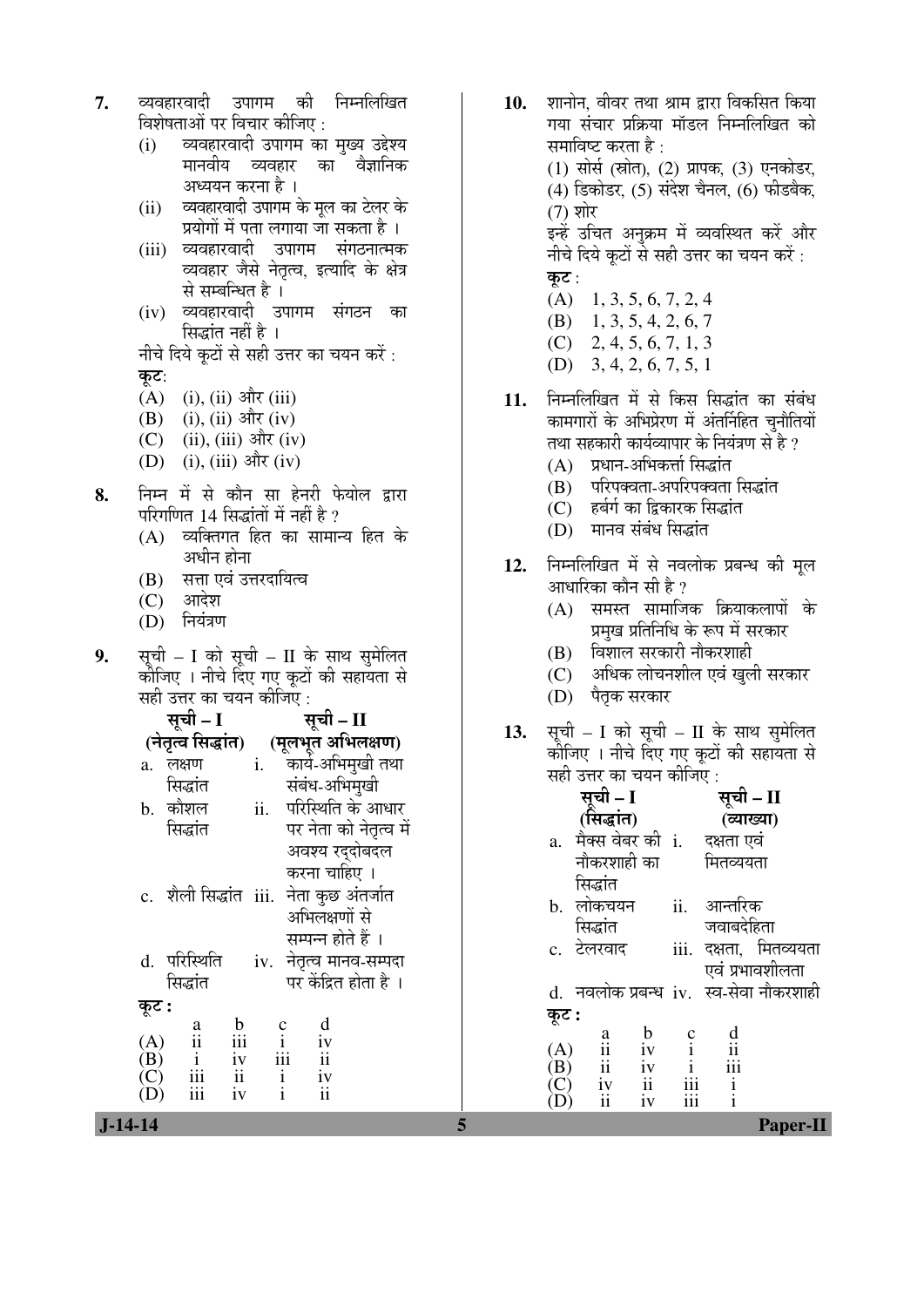- **7.** व्यवहारवादी उपागम की निम्नलिखित विशेषताओं पर विचार कीजिए <u>:</u>
	- (i) व्यवहारवादी उपागम का मुख्य उद्देश्य मानवीय व्यवहार का वैज्ञानिक अध्ययन करना है ।
	- (ii) व्यवहारवादी उपागम के मूल का टेलर के प्रयोगों में पता लगाया जा सकता है ।
	- (iii) व्यवहारवादी उपागम संगठनात्मक व्यवहार जैसे नेतृत्व, इत्यादि के क्षेत्र से सम्बन्धित है।
	- (iv) व्यवहारवादी उपागम संगठन का सिद्धांत नहीं है ।
	- नीचे दिये कूटों से सही उत्तर का चयन करें: कूट:
	- $(A)$  (i), (ii) और (iii)
	- (B) (i), (ii) और (iv)
	- (C) (ii), (iii) और (iv)
	- $(D)$  (i), (iii) और (iv)
- **8.** ×®Ö´®Ö ´Öë ÃÖê ÛúÖî®Ö ÃÖÖ Æêü®Ö¸üß ±êúµÖÖê»Ö «üÖ¸üÖ परिगणित 14 सिद्धांतों में नहीं है ?
	- $(A)$  व्यक्तिगत हित का सामान्य हित के अधीन होना
	- (B) सत्ता एवं उत्तरदायित्व
	- $(C)$  आदेश
	- (D) नियंत्रण
- 9. सूची I को सूची II के साथ सुमेलित कोजिए । नीचे दिए गए कूटों की सहायता से सही उत्तर का चयन कीजिए :

|            | सूची – I                                                         | सूची – II |                                                          |                         |  |
|------------|------------------------------------------------------------------|-----------|----------------------------------------------------------|-------------------------|--|
|            | (नेतृत्व सिद्धांत)                                               |           |                                                          | (मूलभूत अभिलक्षण)       |  |
| a.         | लक्षण                                                            | i.        |                                                          | कार्य-अभिमुखी तथा       |  |
|            | सिद्धांत                                                         |           |                                                          | संबंध-अभिमुखी           |  |
|            | b. कौशल                                                          | ii.       |                                                          | परिस्थिति के आधार       |  |
|            | सिद्धांत                                                         |           |                                                          | पर नेता को नेतृत्व में  |  |
|            |                                                                  |           |                                                          | अवश्य रदुदोबदल          |  |
|            |                                                                  |           | करना चाहिए ।                                             |                         |  |
|            | c. शैली सिद्धांत iii.                                            |           |                                                          | नेता कुछ अंतर्जात       |  |
|            |                                                                  |           | अभिलक्षणों से                                            |                         |  |
|            |                                                                  |           |                                                          | सम्पन्न होते हैं ।      |  |
|            | d. परिस्थिति                                                     |           |                                                          | iv. नेतृत्व मानव-सम्पदा |  |
|            | सिद्धांत                                                         |           |                                                          | पर केंद्रित होता है ।   |  |
| कूट :      |                                                                  |           |                                                          |                         |  |
|            | $\mathfrak b$<br>a                                               |           | d                                                        |                         |  |
| (A)        | $\dddot{\mathbf{i}}$<br>iii                                      |           | $\begin{array}{c} c \\ i \\ iii \end{array}$<br>iv<br>ii |                         |  |
| (B)<br>(C) | $\overline{\textbf{i}}$<br>$\overline{\textbf{iii}}$<br>iv<br>ii |           | $\mathbf{i}$<br>iv                                       |                         |  |
| (D)        | iv<br>iii                                                        |           | $\overline{\textbf{ii}}$<br>$\mathbf{i}$                 |                         |  |

- 10. शानोन. वीवर तथा श्राम द्वारा विकसित किया गया संचार प्रक्रिया मॉडल निम्नलिखित को समाविष्ट करता है : (1) सोर्स (स्रोत), (2) प्रापक, (3) एनकोडर, (4) डिकोडर, (5) संदेश चैनल, (6) फीडबैक, (7) शोर इन्हें उचित अनक्रम में व्यवस्थित करें और नीचे दिये कूटों से सही उत्तर का चयन करें : कट $:$  (A) 1, 3, 5, 6, 7, 2, 4 (B) 1, 3, 5, 4, 2, 6, 7
	- (C) 2, 4, 5, 6, 7, 1, 3
	- (D) 3, 4, 2, 6, 7, 5, 1
- 11. निम्नलिखित में से किस सिद्धांत का संबंध कामगारों के अभिप्रेरण में अंतर्निहित चुनौतियों तथा सहकारी कार्यव्यापार के नियंत्रण से है ?
	- (A) प्रधान-अभिकर्त्ता सिद्धांत
	- (B) परिपक्वता-अपरिपक्वता सिद्धांत
	- (C) हर्बर्ग का द्विकारक सिद्धांत
	- (D) मानव संबंध सिद्धांत
- 12. ਜਿਸਗਿਰਿਕ में से नवलोक प्रबन्ध की मूल आधारिका कौन सी $|\hat{\mathbf{z}}|$ ?
	- $(A)$  समस्त सामाजिक क्रियाकलापों के प्रमुख प्रतिनिधि के रूप में सरकार
	- (B) विशाल सरकारी नौकरशाही
	- (C) अधिक लोचनशील एवं खली सरकार
	- (D) पैतृक सरकार
- 13. सूची I को सूची II के साथ सुमेलित कोंजिए । नीचे दिए गए कूटों की सहायता से सही उत्तर का चयन कीजिए :

| ।रास्त्रापा<br>b. कौशल<br>ii.                    | सबव-जाननुखा<br>परिस्थिति के आधार                        |                  | सुची – I                                                                                                        |                                                             | सूची – II                                 |
|--------------------------------------------------|---------------------------------------------------------|------------------|-----------------------------------------------------------------------------------------------------------------|-------------------------------------------------------------|-------------------------------------------|
| सिद्धांत                                         | पर नेता को नेतृत्व में                                  |                  | (सिद्धांत)                                                                                                      |                                                             | (व्याख्या)                                |
|                                                  | अवश्य रद्दोबदल                                          | a.               | मैक्स वेबर की i.<br>नौकरशाही का                                                                                 |                                                             | दक्षता एवं<br>मितव्ययता                   |
|                                                  | करना चाहिए ।                                            |                  | सिद्धांत                                                                                                        |                                                             |                                           |
| c. शैली सिद्धांत iii. नेता कुछ अंतर्जात          | अभिलक्षणों से                                           |                  | b. लोकचयन                                                                                                       | ii.                                                         | आन्तरिक                                   |
|                                                  | सम्पन्न होते हैं ।                                      |                  | सिद्धांत                                                                                                        |                                                             | जवाबदेहिता                                |
| परिस्थिति<br>iv.<br>d.                           | नेतृत्व मानव-सम्पदा                                     |                  | c. टेलरवाद                                                                                                      |                                                             | iii. दक्षता, मितव्ययता<br>एवं प्रभावशीलता |
| सिद्धांत                                         | पर केंद्रित होता है।                                    |                  |                                                                                                                 |                                                             | d. नवलोक प्रबन्ध iv. स्व-सेवा नौकरशाही    |
| कूट :<br>$\mathbf b$                             | d                                                       | कूट :            |                                                                                                                 |                                                             |                                           |
| a<br>iii<br>$\mathbf{ii}$<br>(A)                 |                                                         |                  | $\mathbf b$                                                                                                     |                                                             | $\mathbf d$                               |
| $\frac{iv}{ii}$<br>$\frac{i}{\text{iii}}$<br>(B) | $\frac{i}{i}$<br>$\overline{iii}$<br>iv<br>$\mathbf{i}$ | (A)<br>(B)       | $\begin{array}{c}\n a \\  ii \\  ii\n \end{array}$                                                              |                                                             | $\overline{ii}$<br>$\overline{iii}$       |
| $\rm(\overline{C})$<br>iii<br>iv<br>(D)          | $\overline{\mathbf{ii}}$                                | $\left( $<br>(D) | $\begin{array}{c}\niv \\ iv \\ ii \\ iv\n\end{array}$<br>$\displaystyle \begin{array}{c} i v \\ ii \end{array}$ | $\begin{array}{c} \textbf{iii} \\ \textbf{iii} \end{array}$ | $\mathbf{i}$                              |
| $J-14-14$                                        |                                                         |                  |                                                                                                                 |                                                             | <b>Paper-II</b>                           |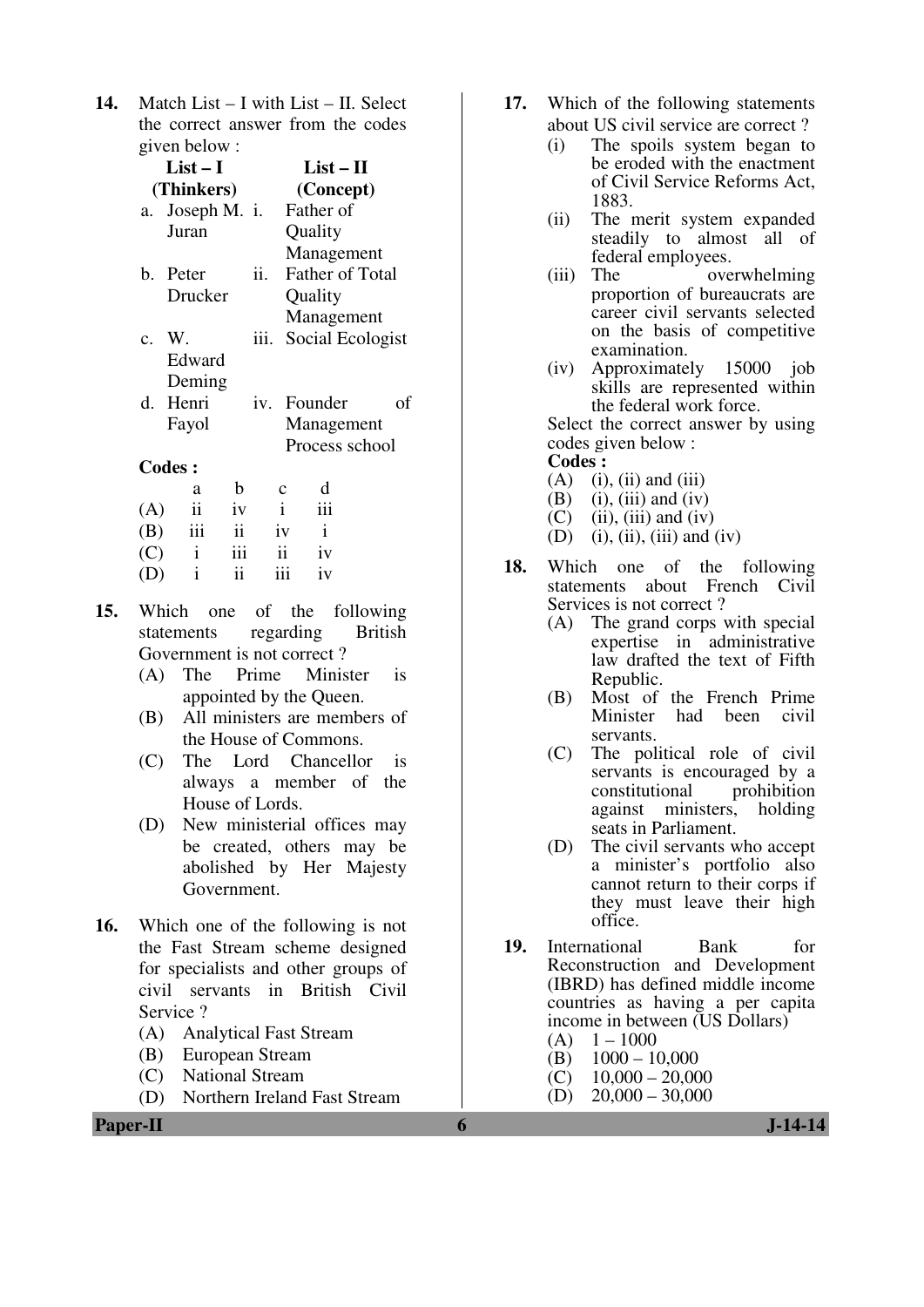**14.** Match List – I with List – II. Select the correct answer from the codes given below :

|     | $List-I$        |    |      |              | $List-II$              |    |
|-----|-----------------|----|------|--------------|------------------------|----|
|     | (Thinkers)      |    |      |              | (Concept)              |    |
|     | a. Joseph M. i. |    |      |              | Father of              |    |
|     | Juran           |    |      |              | Quality                |    |
|     |                 |    |      |              | Management             |    |
|     | b. Peter        |    | ii.  |              | <b>Father of Total</b> |    |
|     | Drucker         |    |      |              | Quality                |    |
|     |                 |    |      |              | Management             |    |
|     | c. W.           |    | iii. |              | Social Ecologist       |    |
|     | Edward          |    |      |              |                        |    |
|     | Deming          |    |      |              |                        |    |
| d.  | Henri           |    |      |              | iv. Founder            | of |
|     | Fayol           |    |      |              | Management             |    |
|     |                 |    |      |              | Process school         |    |
|     | <b>Codes:</b>   |    |      |              |                        |    |
|     | a               | b  |      |              |                        |    |
| (A) | ii              | iv |      | $\mathbf{i}$ |                        |    |

| (A) | $\overline{11}$ | 1V  |     | 111 |
|-----|-----------------|-----|-----|-----|
| (B) | 111             | ii  | iv  | i   |
| (C) | $\mathbf{1}$    | iii | ii  | iv  |
| (D) | $\mathbf{1}$    | ii  | 111 | iv  |

- **15.** Which one of the following statements regarding British Government is not correct ?
	- (A) The Prime Minister is appointed by the Queen.
	- (B) All ministers are members of the House of Commons.
	- (C) The Lord Chancellor is always a member of the House of Lords.
	- (D) New ministerial offices may be created, others may be abolished by Her Majesty Government.
- **16.** Which one of the following is not the Fast Stream scheme designed for specialists and other groups of civil servants in British Civil Service ?
	- (A) Analytical Fast Stream
	- (B) European Stream
	- (C) National Stream
	- (D) Northern Ireland Fast Stream
- **17.** Which of the following statements about US civil service are correct ?
	- (i) The spoils system began to be eroded with the enactment of Civil Service Reforms Act, 1883.
	- (ii) The merit system expanded steadily to almost all of federal employees.
	- (iii) The overwhelming proportion of bureaucrats are career civil servants selected on the basis of competitive examination.
	- (iv) Approximately 15000 job skills are represented within the federal work force.

 Select the correct answer by using codes given below :

#### **Codes :**

- $(A)$  (i), (ii) and (iii)
- (B) (i), (iii) and (iv)
- $(C)$  (ii), (iii) and (iv)
- (D) (i), (ii), (iii) and (iv)
- **18.** Which one of the following statements about French Civil Services is not correct ?
	- (A) The grand corps with special expertise in administrative law drafted the text of Fifth Republic.
	- (B) Most of the French Prime had been civil servants.
	- (C) The political role of civil servants is encouraged by a constitutional prohibition against ministers, holding seats in Parliament.
	- (D) The civil servants who accept a minister's portfolio also cannot return to their corps if they must leave their high office.
- **19.** International Bank for Reconstruction and Development (IBRD) has defined middle income countries as having a per capita income in between (US Dollars)
	- $(A) \quad 1-1000$
	- (B)  $1000 10,000$ <br>(C)  $10,000 20,00$
	- $10,000 20,000$
	- $(D)$  20,000 30,000

**Paper-II 6 J-14-14**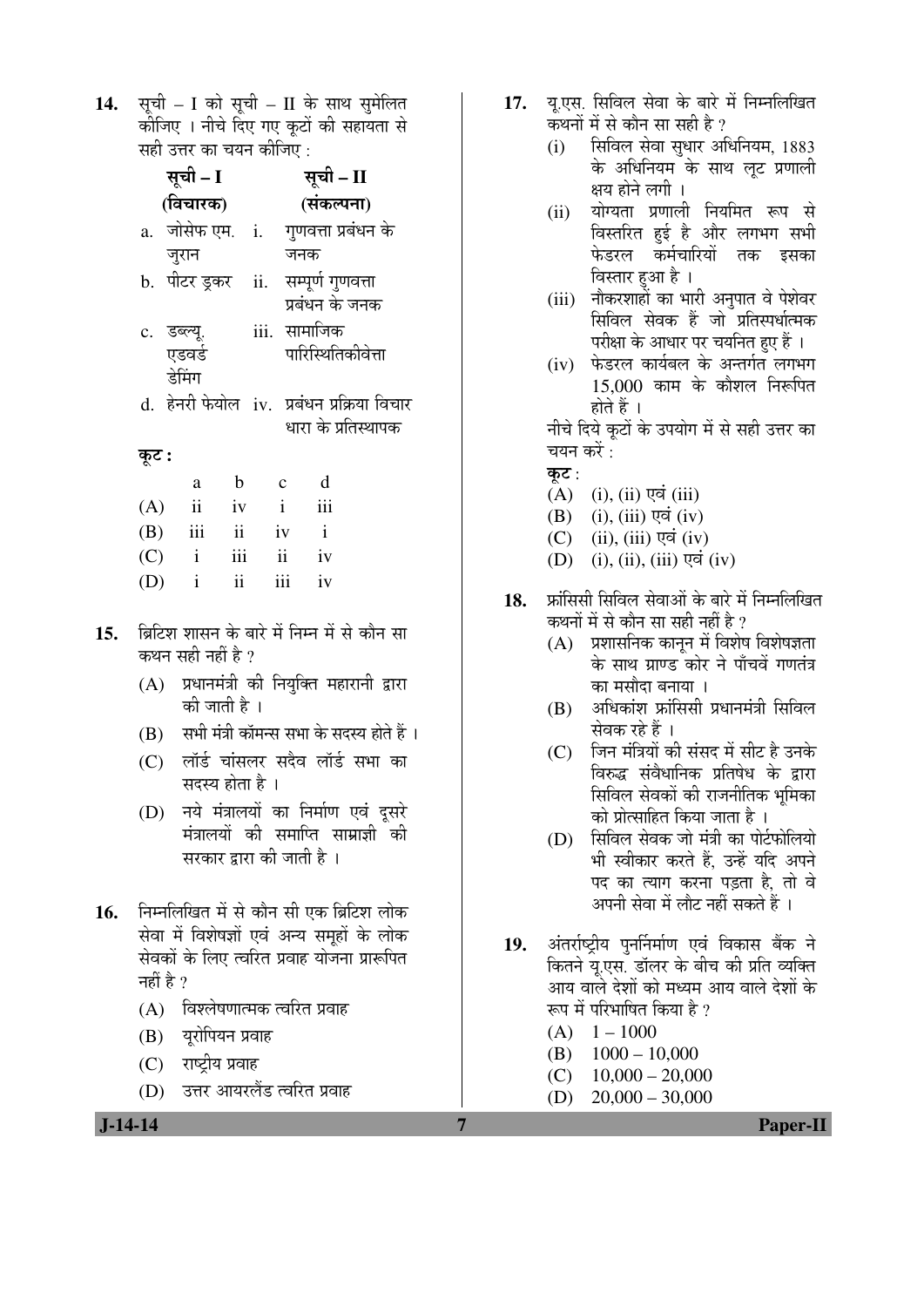14. सूची – I को सूची – II के साथ सुमेलित कीजिए । नीचे दिए गए कुटों की सहायता से सही उत्तर का चयन कीजिए  $\cdot$ 

|       | सूची – I                            |               |              | सूची – II |                     |                                            |
|-------|-------------------------------------|---------------|--------------|-----------|---------------------|--------------------------------------------|
|       | (विचारक)                            |               |              |           | (संकल्पना)          |                                            |
|       | a. जोसेफ एम. i. गुणवत्ता प्रबंधन के |               |              |           |                     |                                            |
|       | जुरान                               |               |              | जनक       |                     |                                            |
|       | b. पीटर ड़कर ii. सम्पूर्ण गुणवत्ता  |               |              |           |                     |                                            |
|       |                                     |               |              |           | प्रबंधन के जनक      |                                            |
|       | c. डब्ल्यू.                         |               |              |           | iii. सामाजिक        |                                            |
|       | एडवर्ड                              |               |              |           | पारिस्थितिकीवेत्ता  |                                            |
|       | डेमिंग                              |               |              |           |                     |                                            |
|       |                                     |               |              |           |                     | d. हेनरी फेयोल iv. प्रबंधन प्रक्रिया विचार |
|       |                                     |               |              |           | धारा के प्रतिस्थापक |                                            |
| कूट : |                                     |               |              |           |                     |                                            |
|       | a                                   | $\mathbf b$   | $\mathbf{c}$ |           | d                   |                                            |
| (A)   | $\mathbf{ii}$                       | iv            | $\mathbf{i}$ |           | iii                 |                                            |
|       | $(B)$ iii ii iv i                   |               |              |           |                     |                                            |
|       | $(C)$ i iii                         |               |              | ii iv     |                     |                                            |
| (D)   | $\mathbf{i}$                        | $\mathbf{ii}$ |              | iii       | iv                  |                                            |
|       |                                     |               |              |           |                     |                                            |

- 15. Þब्रिटिश शासन के बारे में निम्न में से कौन सा कथन सही नहीं है ?
	- (A) प्रधानमंत्री की नियुक्ति महारानी द्वारा की जाती है ।
	- $(B)$  सभी मंत्री कॉमन्स सभा के सदस्य होते हैं ।
	- (C) लॉर्ड चांसलर सदैव लॉर्ड सभा का सदस्य होता है ।
	- (D) नये मंत्रालयों का निर्माण एवं दूसरे मंत्रालयों की समाप्ति साम्राज्ञी की सरकार द्वारा की जाती है ।
- 16. निम्नलिखित में से कौन सी एक ब्रिटिश लोक सेवा में विशेषज्ञों एवं अन्य समूहों के लोक सेवकों के लिए त्वरित प्रवाह योजना प्रारूपित नहीं है  $\gamma$ 
	- (A) विश्लेषणात्मक त्वरित प्रवाह
	- (B) यूरोपियन प्रवाह
	- $(C)$  राष्टीय प्रवाह
	- (D) उत्तर आयरलैंड त्वरित प्रवाह
- 17. यु.एस. सिविल सेवा के बारे में निम्नलिखित कथनों में से कौन सा सही है ?
	- (i) सिविल सेवा सुधार अधिनियम, 1883 के अधिनियम के साथ लूट प्रणाली क्षय होने लगी ।
	- (ii) योग्यता प्रणाली नियमित रूप से विस्तरित हुई है और लगभग सभी फेडरल कर्मचारियों तक इसका विस्तार हुआ है ।
	- (iii) नौकरशाहों का भारी अनुपात वे पेशेवर सिविल सेवक हैं जो प्रतिस्पर्धात्मक परीक्षा के आधार पर चयनित हुए हैं ।
	- (iv) फेडरल कार्यबल के अन्तर्गत लगभग  $15,000$  काम के कौशल निरूपित होते हैं ।

नीचे दिये कूटों के उपयोग में से सही उत्तर का चयन करें $\,$ :

- कुट $:$
- $(A)$  (i), (ii) एवं (iii)
- $(B)$  (i), (iii) एवं (iv)
- $(C)$  (ii), (iii) एवं (iv)
- $(D)$  (i), (ii), (iii) एवं (iv)
- 18. फ्रॉसिसी सिविल सेवाओं के बारे में निम्नलिखित कथनों में से कौन सा सही नहीं है ?
	- $(A)$  प्रशासनिक कानुन में विशेष विशेषज्ञता के साथ ग्राण्ड कोर ने पाँचवें गणतंत्र का मसौदा बनाया ।
	- $(B)$  अधिकांश फ्रांसिसी प्रधानमंत्री सिविल सेवक रहे हैं ।
	- (C) जिन मंत्रियों की संसद में सीट है उनके विरुद्ध संवैधानिक प्रतिषेध के द्वारा सिविल सेवकों की राजनीतिक भुमिका को प्रोत्साहित किया जाता है ।
	- (D) सिविल सेवक जो मंत्री का पोर्टफोलियो भी स्वीकार करते हैं. उन्हें यदि अपने पद का त्याग करना पड़ता है. तो वे अपनी सेवा में लौट नहीं सकते हैं ।
- 19. अंतर्राष्ट्रीय पुनर्निर्माण एवं विकास बैंक ने कितने यु.एस. डॉलर के बीच की प्रति व्यक्ति आय वाले देशों को मध्यम आय वाले देशों के रूप में परिभाषित किया है ?
	- $(A)$  1 1000
	- (B) 1000 10,000
	- $(C)$  10,000 20,000
	- $(D)$  20,000 30,000

 **J-14-14 7 Paper-II**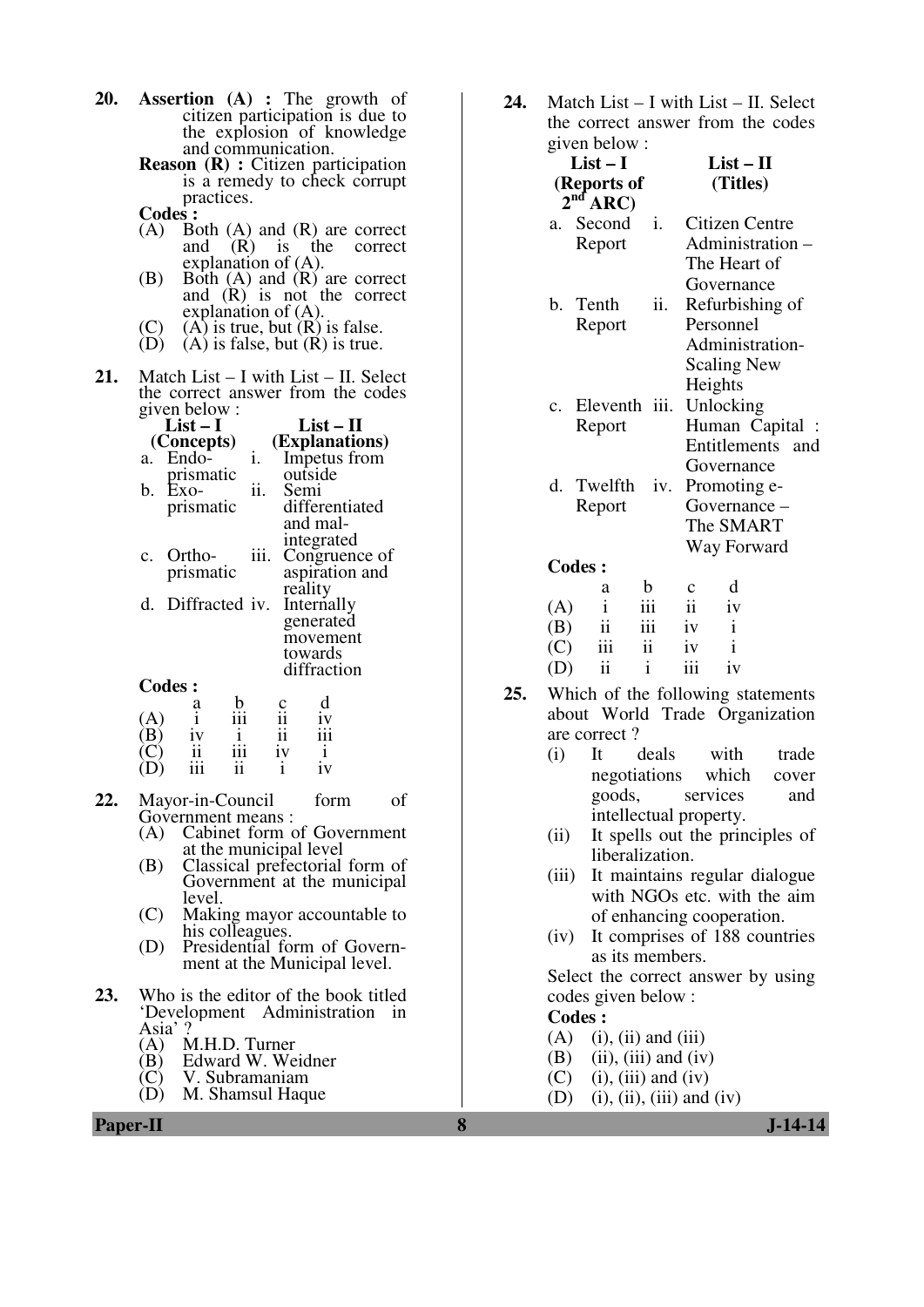- **20. Assertion (A) :** The growth of citizen participation is due to the explosion of knowledge and communication.
	- **Reason (R) :** Citizen participation is a remedy to check corrupt practices.
	- **Codes**:<br>(A) Bo
	- Both  $(A)$  and  $(R)$  are correct<br>and  $(R)$  is the correct  $(R)$  is explanation of (A).
	- (B) Both (A) and (R) are correct and (R) is not the correct explanation of (A).
	- (C) (A) is true, but  $(R)$  is false.<br>(D) (A) is false, but  $(R)$  is true.
	- $(A)$  is false, but  $(R)$  is true.
- **21.** Match List I with List II. Select the correct answer from the codes given below :

|              | $List - 1$                   |                 |                | $List - II$    |  |
|--------------|------------------------------|-----------------|----------------|----------------|--|
|              | (Concepts)                   |                 |                | (Explanations) |  |
|              | a. Endo-                     | 1.              |                | Impetus from   |  |
|              | prismatic                    |                 |                | outside        |  |
|              | $b. Exo-$                    | 11.             |                | Semi           |  |
|              | prismatic                    |                 |                | differentiated |  |
|              |                              |                 |                | and mal-       |  |
|              |                              |                 |                | integrated     |  |
|              | c. Ortho-                    | iii.            |                | Congruence of  |  |
|              | prismatic                    |                 |                | aspiration and |  |
|              |                              |                 |                | reality        |  |
|              | d. Diffracted iv. Internally |                 |                |                |  |
|              |                              |                 |                | generated      |  |
|              |                              |                 |                | movement       |  |
|              |                              |                 |                | towards        |  |
|              |                              |                 |                | diffraction    |  |
|              | <b>Codes:</b>                |                 |                |                |  |
|              |                              |                 |                |                |  |
| $\mathbf{A}$ | a<br>i                       | $\frac{b}{111}$ | $\frac{1}{11}$ |                |  |
|              | iv                           |                 |                |                |  |

- (B) iv i ii iii<br>(C) ii iii iv i<br>(D) iii ii i iv (D) iii ii i iv **22.** Mayor-in-Council form of
	- Government means :
	- (A) Cabinet form of Government at the municipal level
	- (B) Classical prefectorial form of Government at the municipal level.
	- (C) Making mayor accountable to his colleagues.
	- (D) Presidential form of Government at the Municipal level.
- **23.** Who is the editor of the book titled 'Development Administration in
	- Asia' ?<br>(A)  $\overline{N}$
	- (A) M.H.D. Turner<br>(B) Edward W. We (B) Edward W. Weidner<br>(C) V. Subramaniam
	- $(C)$  V. Subramaniam<br>(D) M. Shamsul Haqu
	- M. Shamsul Haque

**24.** Match List – I with List – II. Select the correct answer from the codes given below :

| $\mu$ value over $\mu$ .<br>$List-I$<br>(Reports of<br>$2nd$ ARC) | $List-II$<br>(Titles)                                                                   |
|-------------------------------------------------------------------|-----------------------------------------------------------------------------------------|
| Second<br>a.<br>Report                                            | i.<br>Citizen Centre<br>Administration -<br>The Heart of<br>Governance                  |
| b. Tenth<br>Report                                                | ii.<br>Refurbishing of<br>Personnel<br>Administration-<br><b>Scaling New</b><br>Heights |
| Eleventh<br>$\mathbf{C}$ .<br>Report                              | iii.<br>Unlocking<br>Human Capital :<br>Entitlements<br>and<br>Governance               |
| Twelfth<br>d.<br>Report                                           | iv.<br>Promoting e-<br>Governance -<br>The SMART<br>Way Forward                         |
| <b>Codes:</b>                                                     |                                                                                         |
| b<br>a<br>$\mathbf{i}$<br>(A)<br>111                              | d<br>c<br>ii<br>iv                                                                      |

| (A) | $\mathbf{1}$            | 111          | ii  | 1V           |
|-----|-------------------------|--------------|-----|--------------|
| (B) | $\overline{\mathbf{u}}$ | 111          | iv  | $\mathbf{1}$ |
| (C) | 111                     | 11           | iv  | $\mathbf{i}$ |
| (D) | $\mathbf{ii}$           | $\mathbf{1}$ | 111 | iv           |

- **25.** Which of the following statements about World Trade Organization are correct ?
	- (i) It deals with trade negotiations which cover goods, services and intellectual property.
	- (ii) It spells out the principles of liberalization.
	- (iii) It maintains regular dialogue with NGOs etc. with the aim of enhancing cooperation.
	- (iv) It comprises of 188 countries as its members.

 Select the correct answer by using codes given below :

#### **Codes :**

- $(A)$  (i), (ii) and (iii)
- $(B)$  (ii), (iii) and (iv)
- $(C)$  (i), (iii) and (iv)
- $(D)$  (i), (ii), (iii) and (iv)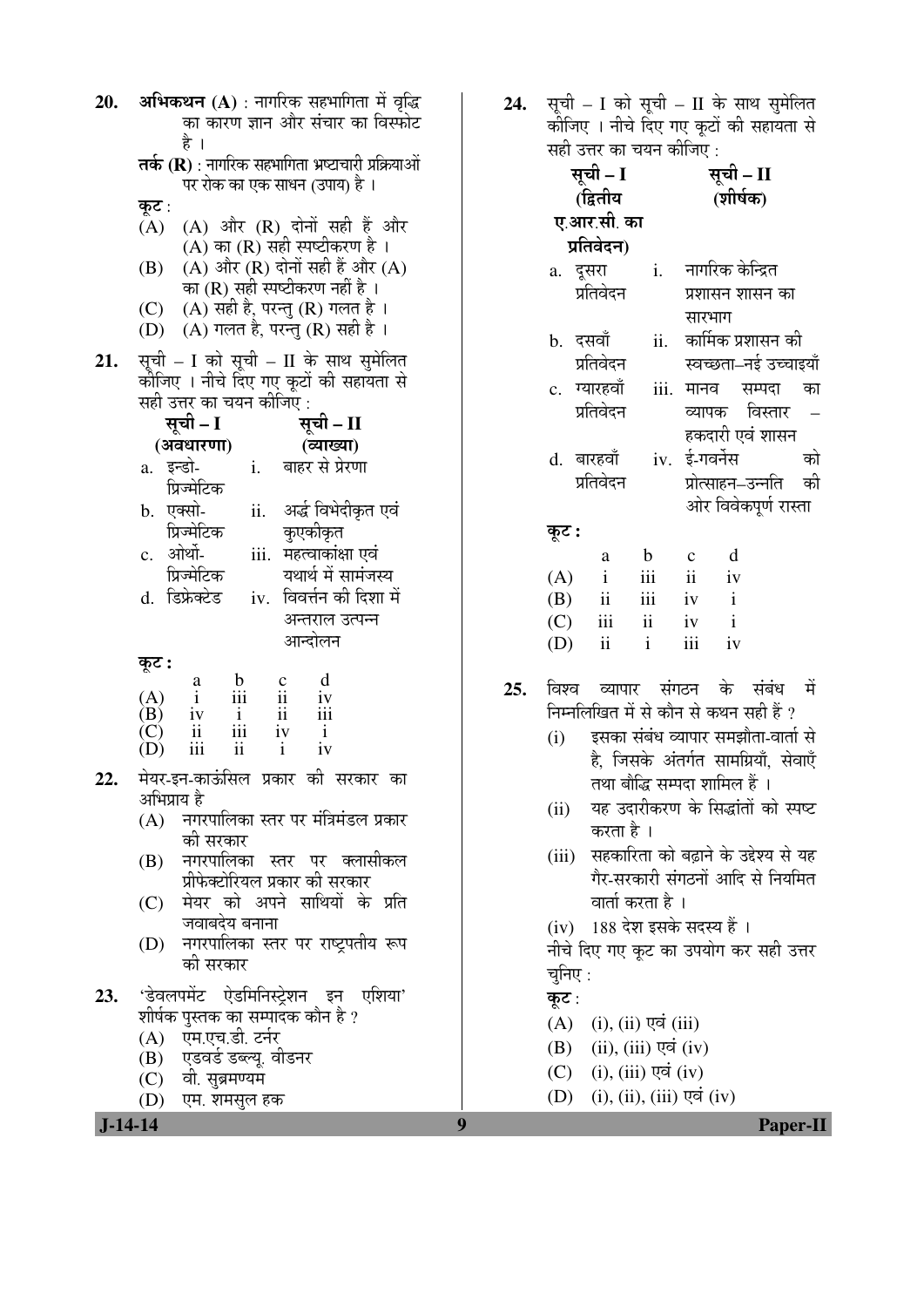| अभिकथन (A) : नागरिक सहभागिता में वृद्धि<br>20.<br>का कारण ज्ञान और संचार का विस्फोट<br>है<br>तर्क (R) : नागरिक सहभागिता भ्रष्टाचारी प्रक्रियाओं<br>पर रोक का एक साधन (उपाय) है ।<br>कूट :<br>(A)                                                                                                                                                                                                                                                                                                                                   | सूची – I को सूची – II के साथ सुमेलित<br>24.<br>कीजिए । नीचे दिए गए कूटों की सहायता से<br>सही उत्तर का चयन कीजिए :<br>सूची – I<br>सूची – II<br>(शीर्षक)<br>(द्वितीय<br>ए.आर.सी. का                                                                                                                                                                                                                                |
|------------------------------------------------------------------------------------------------------------------------------------------------------------------------------------------------------------------------------------------------------------------------------------------------------------------------------------------------------------------------------------------------------------------------------------------------------------------------------------------------------------------------------------|------------------------------------------------------------------------------------------------------------------------------------------------------------------------------------------------------------------------------------------------------------------------------------------------------------------------------------------------------------------------------------------------------------------|
| (A) और (R) दोनों सही हैं और<br>(A) का (R) सही स्पष्टीकरण है ।<br>$(A)$ और $(R)$ दोनों सही हैं और $(A)$<br>(B)<br>का (R) सही स्पष्टीकरण नहीं है।<br>(A) सही है, परन्तु (R) गलत है।<br>(C)<br>(D) (A) गलत है, परन्तु (R) सही है ।<br>सूची – I को सूची – II के साथ सुमेलित<br>21.<br>कीजिए । नीचे दिए गए कूटों की सहायता से<br>सही उत्तर का चयन कीजिएं :<br>सूची – I<br>सूची - II<br>(अवधारणा)<br>(व्याख्या)<br>a. इन्डो-<br>i. बाहर से प्रेरणा<br>प्रिज्मेटिक<br>अर्द्ध विभेदीकृत एवं<br>b. एक्सो-<br>ii.<br>कुएकीकृत<br>प्रिज्मेटिक | प्रतिवेदन)<br>नागरिक केन्द्रित<br>a. दूसरा<br>i.<br>प्रतिवेदन<br>प्रशासन शासन का<br>सारभाग<br>कार्मिक प्रशासन की<br>ii.<br>b. दसवॉ<br>प्रतिवेदन<br>स्वच्छता–नई उच्चाइयाँ<br>c. ग्यारहवाँ<br>iii.<br>मानव<br>सम्पदा<br>का<br>प्रतिवेदन<br>व्यापक विस्तार<br>हकदारी एवं शासन<br>iv. ई-गवर्नेस<br>d. बारहवाँ<br>को<br>प्रतिवेदन<br>प्रोत्साहन–उन्नति की<br>ओर विवेकपूर्ण रास्ता<br>कूट :                            |
| c. ओर्थो-<br>iii. महत्वाकांक्षा एवं<br>प्रिज्मेटिक<br>यथार्थ में सामंजस्य<br>iv. विवर्त्तन की दिशा में<br>d. डिफ्रेक्टेड<br>अन्तराल उत्पन्न<br>आन्दोलन<br>कूट :<br>d<br>$\frac{b}{111}$<br>$\frac{c}{ii}$<br>a<br>(A)<br>$\mathbf{i}$<br>iv<br>$\frac{1}{i}$<br>(B)<br>$\ddot{\mathbf{i}}$<br>$\frac{iv}{ii}$<br>$\frac{i}{\text{iii}}$<br>(C)<br>iv<br>$\rm ii$<br>iii<br>iv<br>(D)<br>$\mathbf{i}$                                                                                                                               | d<br>$\mathbf b$<br>$\mathbf C$<br>a<br>iii<br>ii<br>(A)<br>iv<br>$\mathbf{i}$<br>$\rm ii$<br>iii<br>$\mathbf{i}$<br>(B)<br>iv<br>$\mathbf{i}$<br>iii<br>$\mathbf{ii}$<br>(C)<br>iv<br>ii<br>iii<br>$\mathbf{i}$<br>(D)<br>iv<br>व्यापार संगठन के संबंध<br>25.<br>- में<br>विश्व<br>निम्नलिखित में से कौन से कथन सही हैं ?<br>इसका संबंध व्यापार समझौता-वार्ता से<br>(i)<br>है, जिसके अंतर्गत सामग्रियाँ, सेवाएँ |
| मेयर-इन-काऊंसिल प्रकार की सरकार का<br>22<br>अभिप्राय है<br>(A)   नगरपालिका स्तर पर मंत्रिमंडल प्रकार<br>की सरकार<br>नगरपालिका स्तर पर क्लासीकल<br>(B)<br>प्रीफेक्टोरियल प्रकार की सरकार<br>(C) मेयर को अपने साथियों के प्रति<br>जवाबदेय बनाना<br>नगरपालिका स्तर पर राष्ट्रपतीय रूप<br>(D)<br>की सरकार                                                                                                                                                                                                                              | तथा बौद्धि सम्पदा शामिल हैं ।<br>यह उदारीकरण के सिद्धांतों को स्पष्ट<br>(ii)<br>करता है ।<br>(iii) सहकारिता को बढ़ाने के उद्देश्य से यह<br>गैर-सरकारी संगठनों आदि से नियमित<br>वार्ता करता है ।<br>(iv) 188 देश इसके सदस्य हैं ।<br>नीचे दिए गए कूट का उपयोग कर सही उत्तर<br>चुनिए :                                                                                                                             |
| 'डेवलपमेंट ऐडमिनिस्ट्रेशन इन एशिया'<br>23.<br>शीर्षक पुस्तक का सम्पादक कौन है ?<br>एम.एच.डी. टर्नर<br>(A)<br>(B) एडवर्ड डब्ल्यू. वीडनर<br>(C) वी. सुब्रमण्यम<br>(D)<br>एम. शमसुल हक<br>$J-14-14$                                                                                                                                                                                                                                                                                                                                   | कूट:<br>(A)<br>$(i)$ , $(ii)$ एवं $(iii)$<br>$(ii), (iii)$ एवं $(iv)$<br>(B)<br>$(i)$ , $(iii)$ एवं $(iv)$<br>(C)<br>$(i)$ , $(ii)$ , $(iii)$ एवं $(iv)$<br>(D)<br>9<br><b>Paper-II</b>                                                                                                                                                                                                                          |

| सूची – I                       |                         | सूची – II    |                       |  |    |
|--------------------------------|-------------------------|--------------|-----------------------|--|----|
| (द्वितीय                       |                         |              | (शीर्षक)              |  |    |
| ए.आर.सी. का                    |                         |              |                       |  |    |
| प्रतिवेदन)                     |                         |              |                       |  |    |
| a. दूसरा                       |                         |              | i. नागरिक केन्द्रित   |  |    |
| प्रतिवेदन                      |                         |              | प्रशासन शासन का       |  |    |
|                                |                         | सारभाग       |                       |  |    |
| b. दसवाँ                       | ii.                     |              | कार्मिक प्रशासन की    |  |    |
| प्रतिवेदन                      |                         |              | स्वच्छता–नई उच्चाइयाँ |  |    |
| c. ग्यारहवाँ                   | iii.                    |              | मानव सम्पदा           |  | का |
| प्रतिवेदन                      |                         |              | व्यापक विस्तार        |  |    |
|                                |                         |              | हकदारी एवं शासन       |  |    |
| d. बारहवाँ                     |                         |              | iv. ई-गवर्नेस         |  | को |
| प्रतिवेदन                      |                         |              | प्रोत्साहन–उन्नति की  |  |    |
|                                |                         |              | ओर विवेकपूर्ण रास्ता  |  |    |
| कूट :                          |                         |              |                       |  |    |
| a                              | $\mathbf b$             | $\mathbf{C}$ | d                     |  |    |
| $\mathbf{i}$<br>(A)            | iii                     | ii           | iv                    |  |    |
| ii<br>(B)                      | $iii -$                 | iv           | $\mathbf{i}$          |  |    |
| $\overline{\text{iii}}$<br>(C) | $\overline{\mathbf{i}}$ | iv           | $\mathbf{i}$          |  |    |
| $(D)$ ii                       | $\mathbf{i}$            | iii          | iv                    |  |    |

- 25. विश्व व्यापार संगठन के संबंध में निम्नलिखित में से कौन से कथन सही हैं ?
	- $(i)$   $\bar{z}$ सका संबंध व्यापार समझौता-वार्ता से है, जिसके अंतर्गत सामग्रियाँ, सेवाएँ तथा बौद्धि सम्पदा शामिल हैं ।
	- (ii) यह उदारीकरण के सिद्धांतों को स्पष्ट करता है।
	- (iii) सहकारिता को बढ़ाने के उद्देश्य से यह गैर-सरकारी संगठनों आदि से नियमित वार्ता करता है ।
	- (iv) 188 देश इसके सदस्य हैं ।
	- ्<br>नीचे दिए गए कुट का उपयोग कर सही उत्तर चुनिए $:$

### कूट :

- $(A)$  (i), (ii) एवं (iii)
- $(B)$  (ii), (iii) एवं (iv)
- $(C)$  (i), (iii) एवं (iv)
- $(D)$  (i), (ii), (iii) एवं (iv)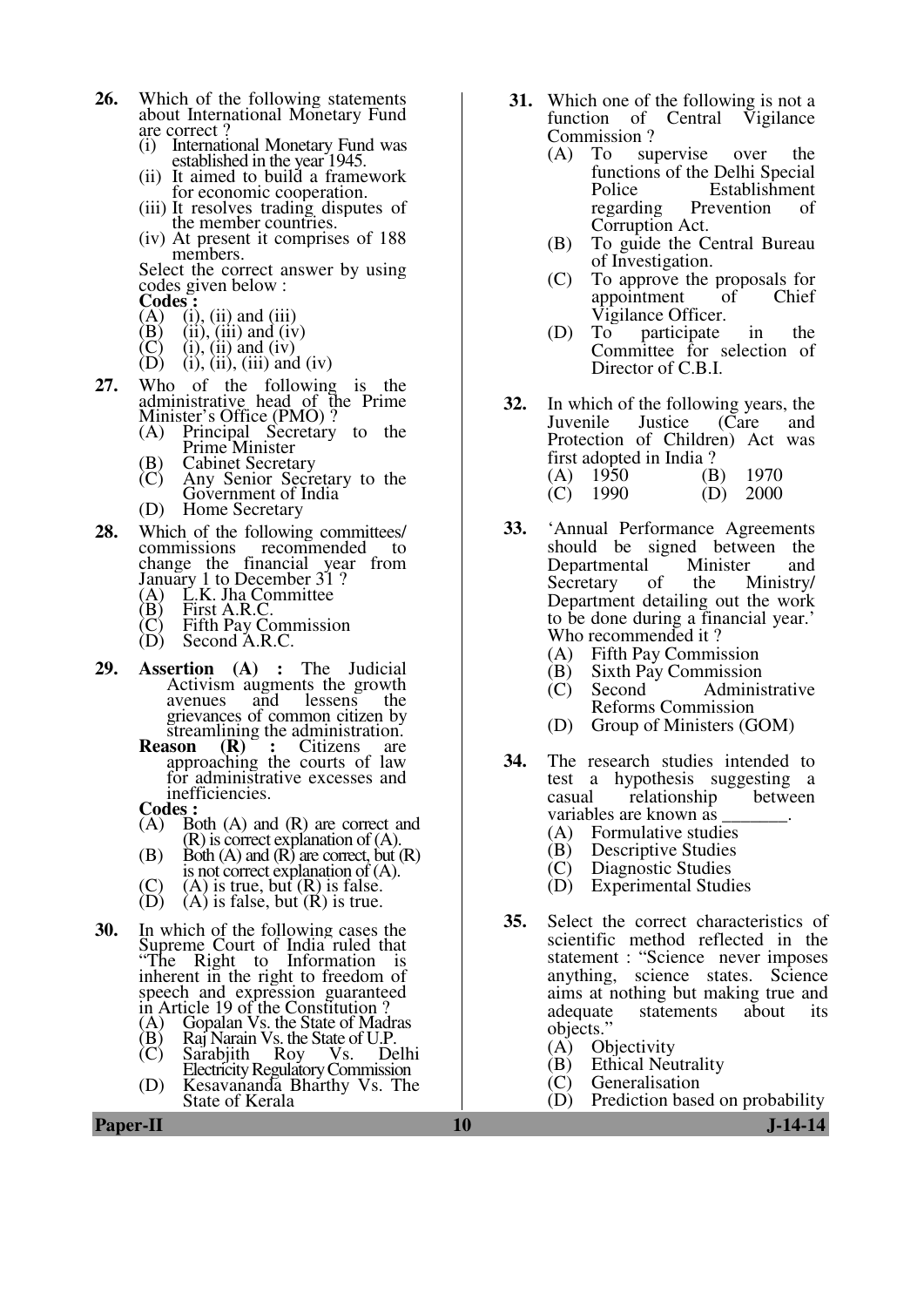- **26.** Which of the following statements about International Monetary Fund are correct ?
	- (i) International Monetary Fund was established in the year 1945.
	- (ii) It aimed to build a framework for economic cooperation.
	- (iii) It resolves trading disputes of the member countries.
	- (iv) At present it comprises of 188 members.

 Select the correct answer by using codes given below :

- **Codes** :<br>
(A) (i)<br>
(B) (ii)  $(i)$ ,  $(ii)$  and  $(iii)$
- 
- (B) (ii), (iii) and (iv)<br>(C) (i), (ii) and (iv)
- $(C)$  (i), (ii) and (iv)<br>(D) (i), (ii), (iii) and  $(i)$ ,  $(ii)$ ,  $(iii)$  and  $(iv)$
- **27.** Who of the following is the administrative head of the Prime Minister's Office (PMO) ?
- (A) Principal Secretary to the Prime Minister
	- (B) Cabinet Secretary<br>(C) Any Senior Secre
	- Any Senior Secretary to the Government of India
	- (D) Home Secretary
- **28.** Which of the following committees/ commissions recommended to change the financial year from January 1 to December 31 ?<br>
(A) L.K. Jha Committee<br>
(B) First A.R.C.<br>
(C) Fifth Pay Commission<br>
(D) Second A.R.C.
	- L.K. Jha Committee
	- First A.R.C.
- (C) Fifth Pay Commission
- (D) Second A.R.C.
- **29. Assertion (A) :** The Judicial Activism augments the growth<br>avenues and lessens the avenues and lessens the grievances of common citizen by
	- streamlining the administration.<br>**ason**  $(R)$ : Citizens are **Reason** approaching the courts of law for administrative excesses and inefficiencies.
	- **Codes :**<br>
	(A) B
	- (A) Both (A) and (R) are correct and (R) is correct explanation of (A).
	- $(B)$  Both  $(A)$  and  $(R)$  are correct, but  $(R)$ is not correct explanation of (A).
	- (C) (A) is true, but (R) is false.<br>(D) (A) is false, but (R) is true.
	- $(A)$  is false, but  $(R)$  is true.
- **30.** In which of the following cases the Supreme Court of India ruled that "The Right to Information is inherent in the right to freedom of speech and expression guaranteed in Article 19 of the Constitution ?<br>(A) Gopalan Vs. the State of Mad
	- (A) Gopalan Vs. the State of Madras<br>(B) Raj Narain Vs. the State of U.P.
	- $(B)$  Raj Narain Vs. the State of U.P.<br>
	(C) Sarabiith Roy Vs. Delhi
- (C) Sarabjith Roy Vs. Delhi Electricity Regulatory Commission (D) Kesavananda Bharthy Vs. The State of Kerala
- **31.** Which one of the following is not a function of Central Vigilance Commission ?
	- (A) To supervise over the functions of the Delhi Special Police Establishment regarding Prevention of Corruption Act.
	- (B) To guide the Central Bureau of Investigation.
	- (C) To approve the proposals for appointment Vigilance Officer.<br>To participate
	- (D) To participate in the Committee for selection of Director of C.B.I.
- **32.** In which of the following years, the Juvenile Justice (Care and Juvenile Justice (Care and Protection of Children) Act was first adopted in India ?<br>(A)  $1950$  (B) (A) 1950 (B) 1970<br>(C) 1990 (D) 2000  $(C)$  1990
- **33.** 'Annual Performance Agreements should be signed between the Departmental Minister and<br>Secretary of the Ministry/ Secretary Department detailing out the work to be done during a financial year.' Who recommended it?<br>(A) Fifth Pay Commi
	- (A) Fifth Pay Commission<br>(B) Sixth Pay Commission
	- (B) Sixth Pay Commission<br>(C) Second Adminis
	- Administrative Reforms Commission
	- (D) Group of Ministers (GOM)
- **34.** The research studies intended to test a hypothesis suggesting a casual relationship between variables are known as
	- (A) Formulative studies<br>(B) Descriptive Studies
	- (B) Descriptive Studies<br>(C) Diagnostic Studies
	- Diagnostic Studies
	- (D) Experimental Studies
- **35.** Select the correct characteristics of scientific method reflected in the statement : "Science never imposes anything, science states. Science aims at nothing but making true and<br>adequate statements about its statements objects."
	- (A) Objectivity<br>(B) Ethical Neu
	- (B) Ethical Neutrality<br>(C) Generalisation
	-
	- (C) Generalisation<br>(D) Prediction base Prediction based on probability

**Paper-II** J-14-14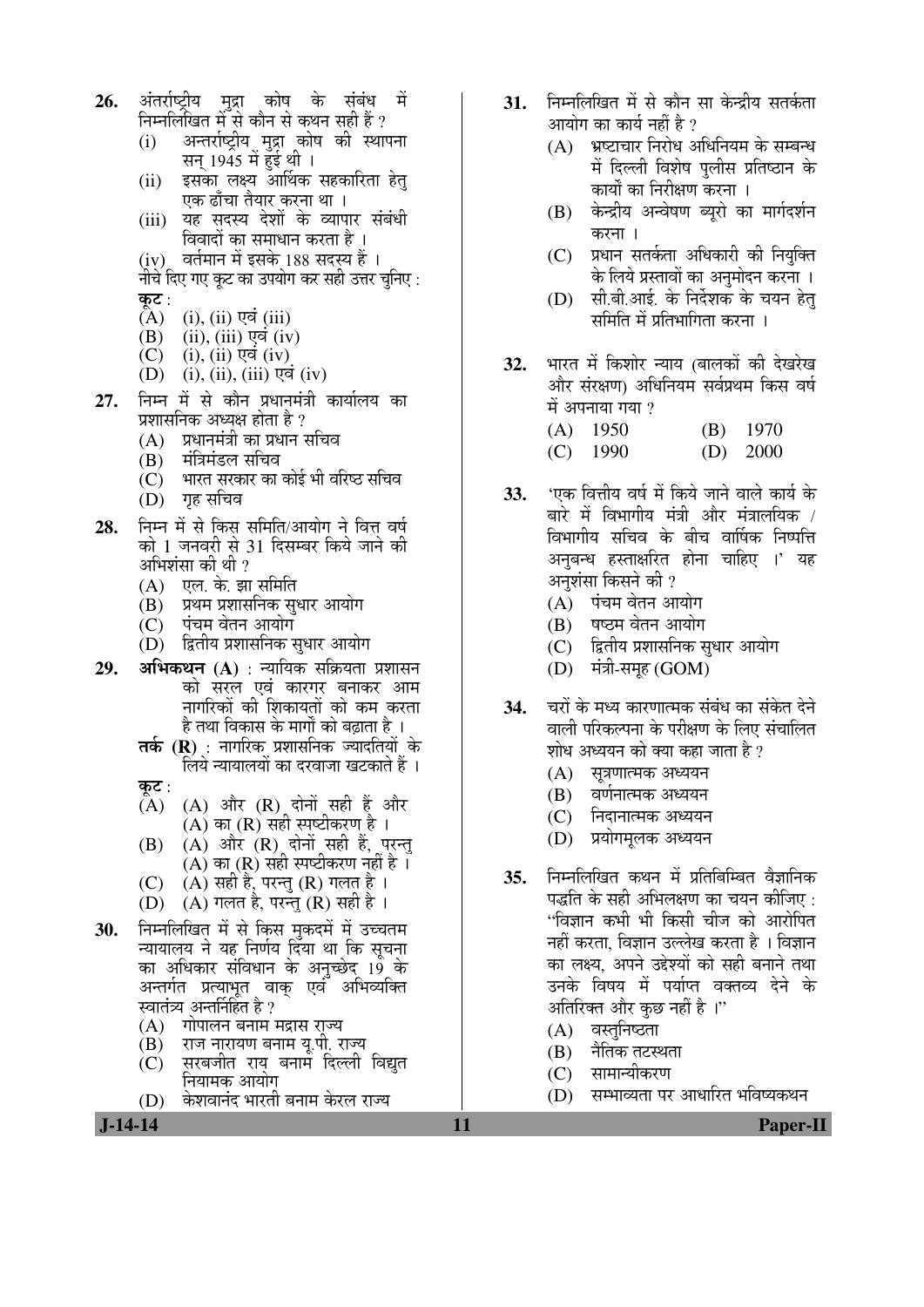- **26.** अंतर्राष्ट्रीय मुद्रा कोष के संबंध में निम्नलिखित में से कौन से कथन सही है ?
	- (i) । अन्तर्राष्ट्रीय मुद्रा कोष की स्थापना सन् 1945 में हुई थी ।
	- (ii) इसका लक्ष्य आर्थिक सहकारिता हेत् एक ढाँचा तैयार करना था ।
	- (iii) यह सदस्य देशों के व्यापार संबंधी विवादों का समाधान करता है ।
	- (iv) वर्तमान में इसके 188 सदस्य हैं । नीचे दिए गए कट का उपयोग कर सही उत्तर चनिए :

- कू**ट** :<br>(A)  $(A)$  (i), (ii) एवं (iii)<br>(B) (ii), (iii) एवं (iv
- $(B)$   $(ii), (iii)$  एवं  $(iv)$ <br>  $(C)$   $(i), (ii)$  एवं  $(iv)$
- $(i)$ ,  $(ii)$  एवं  $(iv)$
- $(D)$  (i), (ii), (iii)  $\nabla \vec{q}$  (iv)
- 27. निम्न में से कौन प्रधानमंत्री कार्यालय का प्रशासनिक अध्यक्ष होता है ?
	- $(A)$  प्रधानमंत्री का प्रधान सचिव
	- (B) मंत्रिमंडल सचिव
	- $\overline{C}$ ) भारत सरकार का कोई भी वरिष्ठ सचिव
	- (D) गृह सचिव
- 28. ਜਿਸ में से किस समिति/आयोग ने वित्त वर्ष को 1 जनवरी से 31 दिसम्बर किये जाने की अभिशंसा की थी ?
	- $(A)$  एल. के. झा समिति
	- $\overline{(\mathbf{B})}$   $\overline{\mathbf{B}}$   $\overline{\mathbf{B}}$   $\overline{\mathbf{B}}$   $\overline{\mathbf{B}}$   $\overline{\mathbf{B}}$   $\overline{\mathbf{B}}$
	- $(C)$  पंचम वेतन आयोग
	- (D) हितीय प्रशासनिक सुधार आयोग
- **29. अभिकथन (A)** : न्यायिक सक्रियता प्रशासन को सरल एवं कारगर बनाकर आम नागरिकों की शिकायतों को कम करता है तथा विकास के मार्गों को बढाता है ।
	- **तर्क (R)** : नागरिक प्रशासनिक ज्यादतियों के लिये न्यायालयों का दरवाजा खटकाते हैं ।
	- कुट $:$
	- $(A)$   $(A)$  और  $(R)$  दोनों सही हैं और  $(A)$  का  $(R)$  सही स्पष्टीकरण है।
- $\qquad \qquad \textbf{(B)} \quad \textbf{(A)} \textbf{)}$  और  $\textbf{(R)}$  दोनों सही हैं, परन्तु  $\overline{\mathrm{(A)}}$  का  $\overline{\mathrm{(R)}}$  सही स्पष्टीकरण नहीं है ।
	- $(C)$   $(A)$  सही है, परन्तु  $(R)$  गलत है।
	- (D)  $(A)$  गलत है, परन्तु (R) सही है ।
- 30. ਜਿਸਕਿਯਿਕ में से किस मुकदमें में उच्चतम <u>न्यायालय ने यह निर्णय दिया था कि सचना</u> का अधिकार संविधान के अनुच्छेद 19 के अन्तर्गत प्रत्याभृत वाक एवं अभिव्यक्ति स्वातंत्र्य अन्तर्निहित है ?
	- $(A)$  गोपालन बनाम मद्रास राज्य
	- $\overline{(\textbf{B})}$  ) राज नारायण बनाम यू.पी. राज्य<br>(C) सरबजीत राय बनाम दिल्ली
	- सरबजीत राय बनाम दिल्ली विद्यत नियामक आयोग
	- (D) केशवानंद भारती बनाम केरल राज्य
- 31. FEHMGE में से कौन सा केन्द्रीय सतर्कता आयोग का कार्य नहीं है ?
	- $(A)$  भ्रष्टाचार निरोध अधिनियम के सम्बन्ध में दिल्ली विशेष पलीस प्रतिष्ठान के कार्यों का निरीक्षण करना ।
	- (B) केन्द्रीय अन्वेषण ब्यूरो का मार्गदर्शन करना ।
	- (C) प्रधान सतर्कता अधिकारी की नियुक्ति के लिये प्रस्तावों का अनुमोदन करना ।
	- $(D)$  सी.बी.आई. के निर्देशक के चयन हेत समिति में प्रतिभागिता करना ।
- 32. भारत में किशोर न्याय (बालकों की देखरेख ओर संरक्षण) अधिनियम सर्वप्रथम किस वर्ष में अपनाया गया ?
	- (A) 1950 (B) 1970
	- (C) 1990 (D) 2000
- **33.** 'एक वित्तीय वर्ष में किये जाने वाले कार्य के बारे में विभागीय मंत्री और मंत्रालयिक *।* विभागीय सचिव के बीच वार्षिक निष्पत्ति अनबन्ध हस्ताक्षरित होना चाहिए ।' यह अनुशंसा किसने की ?
	- $(A)$  पंचम वेतन आयोग
	- (B) षष्टम वेतन आयोग
	- (C) हितीय प्रशासनिक सुधार आयोग
	- $(D)$  मंत्री-समूह  $(GOM)$
- 34. चरों के मध्य कारणात्मक संबंध का संकेत देने वाली परिकल्पना के परीक्षण के लिए संचालित शोध अध्ययन को क्या कहा जाता है ?
	- $(A)$  सत्रणात्मक अध्ययन
	- (B) वर्णनात्मक अध्ययन
	- (C) निदानात्मक अध्ययन
	- (D) प्रयोगमुलक अध्ययन
- **35.** निम्नलिखित कथन में प्रतिबिम्बित वैज्ञानिक पद्धति के सही अभिलक्षण का चयन कीजिए  $\cdot$ "विज्ञान कभी भी किसी चीज को आरोपित नहीं करता. विज्ञान उल्लेख करता है । विज्ञान का लक्ष्य. अपने उद्देश्यों को सही बनाने तथा उनके विषय में पर्याप्त वक्तव्य देने के आतिरिक्त और कुछ नहीं है ।''
	- (A) वस्तनिष्ठता
	- (B) नैतिक तटस्थता
	- (C) सामान्यीकरण
	- (D) सम्भाव्यता पर आधारित भविष्यकथन

 **J-14-14 11 Paper-II**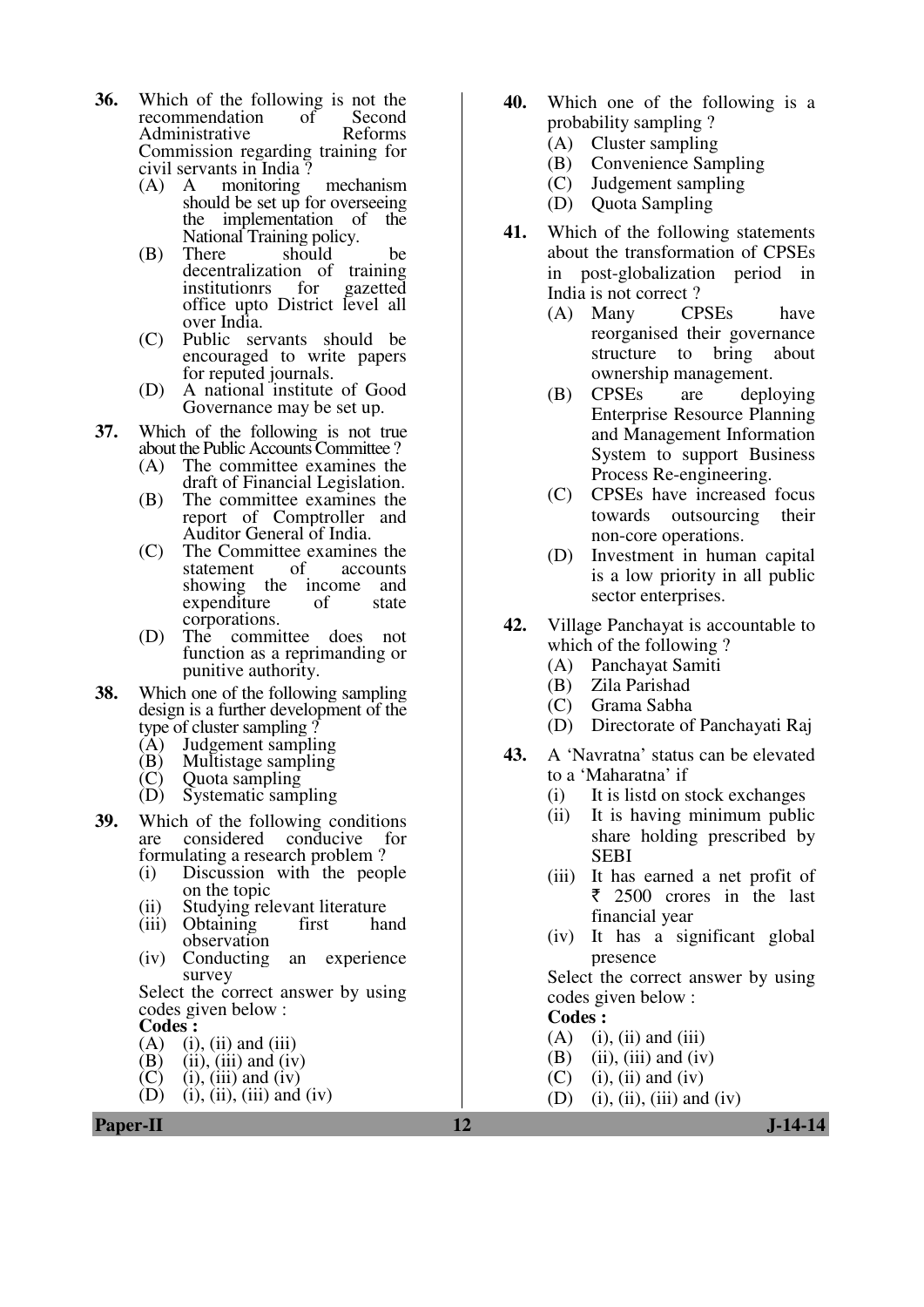- **36.** Which of the following is not the recommendation of Second recommendation of Administrative Reforms Commission regarding training for civil servants in India ?
	- (A) A monitoring mechanism should be set up for overseeing the implementation of the National Training policy.<br>There should
	- (B) There should be decentralization of training<br>institutions for gazetted institutionrs office upto District level all over India.
	- (C) Public servants should be encouraged to write papers for reputed journals.
	- (D) A national institute of Good Governance may be set up.
- **37.** Which of the following is not true about the Public Accounts Committee?<br>(A) The committee examines the
	- The committee examines the draft of Financial Legislation.
	- (B) The committee examines the report of Comptroller and Auditor General of India.
	- (C) The Committee examines the statement showing the income and<br>expenditure of state expenditure corporations.
	- (D) The committee does not function as a reprimanding or punitive authority.
- **38.** Which one of the following sampling design is a further development of the
	- type of cluster sampling ?<br>(A) Judgement sampling
	- (A) Judgement sampling<br>(B) Multistage sampling
	- (B) Multistage sampling<br>(C) Ouota sampling
	- (C) Quota sampling<br>(D) Systematic sample Systematic sampling
- **39.** Which of the following conditions are considered conducive for formulating a research problem?<br>(i) Discussion with the peop
	- Discussion with the people on the topic
	- (ii) Studying relevant literature<br>(iii) Obtaining first hand
	- Obtaining observation
	- (iv) Conducting an experience survey

 Select the correct answer by using codes given below :

**Codes :** 

- (A) (i), (ii) and (iii)<br>(B) (ii), (iii) and (iv)
- (B) (ii), (iii) and (iv) <br>(C) (i), (iii) and (iv)
- (C) (i), (iii) and (iv)<br>(D) (i), (ii), (iii) and
- $(i)$ ,  $(ii)$ ,  $(iii)$  and  $(iv)$
- **40.** Which one of the following is a probability sampling ?
	- (A) Cluster sampling
	- (B) Convenience Sampling
	- (C) Judgement sampling
	- (D) Quota Sampling
- **41.** Which of the following statements about the transformation of CPSEs in post-globalization period in India is not correct ?
	- (A) Many CPSEs have reorganised their governance structure to bring about ownership management.
	- (B) CPSEs are deploying Enterprise Resource Planning and Management Information System to support Business Process Re-engineering.
	- (C) CPSEs have increased focus towards outsourcing their non-core operations.
	- (D) Investment in human capital is a low priority in all public sector enterprises.
- **42.** Village Panchayat is accountable to which of the following ?
	- (A) Panchayat Samiti
	- (B) Zila Parishad
	- (C) Grama Sabha
	- (D) Directorate of Panchayati Raj
- **43.** A 'Navratna' status can be elevated to a 'Maharatna' if
	- (i) It is listd on stock exchanges
	- (ii) It is having minimum public share holding prescribed by SEBI
	- (iii) It has earned a net profit of  $\overline{\xi}$  2500 crores in the last financial year
	- (iv) It has a significant global presence

 Select the correct answer by using codes given below :

### **Codes :**

- $(A)$  (i), (ii) and (iii)
- $(B)$  (ii), (iii) and (iv)
- $(C)$  (i), (ii) and (iv)
- (D) (i), (ii), (iii) and (iv)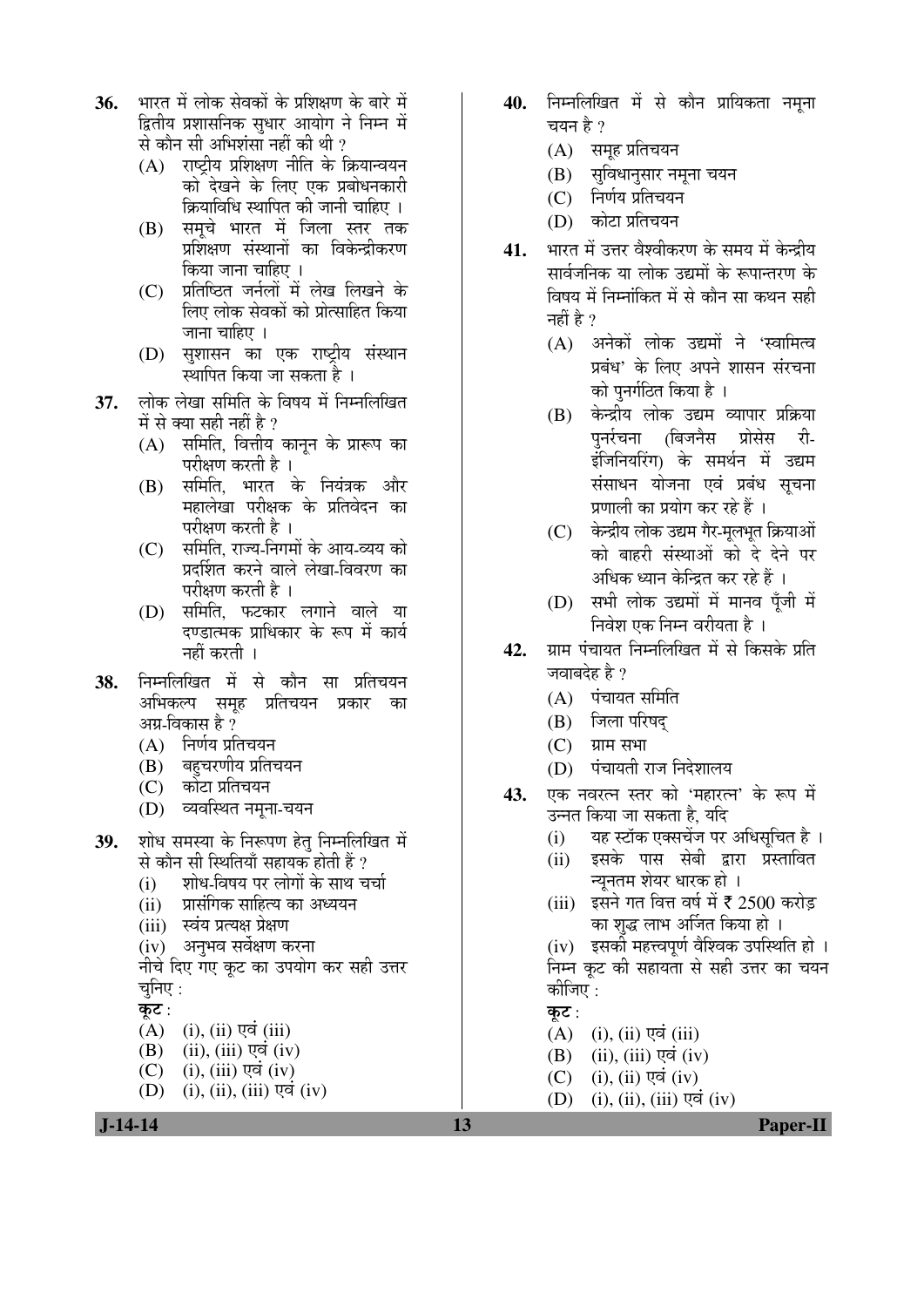- **36.** भारत में लोक सेवकों के प्रशिक्षण के बारे में द्वितीय प्रशासनिक सुधार आयोग ने निम्न में से कौन सी अभिशंसा नहीं की थी ?
	- $(A)$  राष्टीय प्रशिक्षण नीति के क्रियान्वयन को देखने के लिए एक प्रबोधनकारी क्रियाविधि स्थापित की जानी चाहिए ।
	- (B) समूचे भारत में जिला स्तर तक प्रशिक्षण संस्थानों का विकेन्द्रीकरण किया जाना चाहिए ।
	- (C) प्रतिष्ठित जर्नलों में लेख लिखने के लिए लोक सेवकों को प्रोत्साहित किया जाना चाहिए $\perp$
	- (D) सुशासन का एक राष्ट्रीय संस्थान स्थापित किया जा सकता है ।
- 37. लोक लेखा समिति के विषय में निम्नलिखित में से क्या सही नहीं है ?
	- $(A)$  समिति, वित्तीय कानून के प्रारूप का परीक्षण करती है ।
	- (B) समिति, भारत के नियंत्रक और महालेखा परीक्षक के प्रतिवेदन का परीक्षण करती है ।
	- (C) समिति, राज्य-निगमों के आय-व्यय को प्रदर्शित करने वाले लेखा-विवरण का परीक्षण करती है ।
	- $(D)$  समिति, फटकार लगाने वाले या दण्डात्मक प्राधिकार के रूप में कार्य नहीं करती ।
- 38. निम्नलिखित में से कौन सा प्रतिचयन अभिकल्प समूह प्रतिचयन प्रकार का आग्र-विकास है ?
	- $(A)$  निर्णय प्रतिचयन
	- (B) बहुचरणीय प्रतिचयन
	- (C) कोटा प्रतिचयन
	- (D) व्यवस्थित नमृना-चयन
- 39. शोध समस्या के निरूपण हेतु निम्नलिखित में
	- से कौन सी स्थितियाँ सहायक होती हैं ?<br>(i) शोध-विषय पर लोगों के साथ च शोध-विषय पर लोगों के साथ चर्चा
	- (ii) प्रासंगिक साहित्य का अध्ययन
	- (iii) स्वंय प्रत्यक्ष प्रेक्षण
	- (iv) अनुभव सर्वेक्षण करना

नीचे दिए गए कूट का उपयोग कर सही उत्तर चनिए $:$ 

कुट $:$ 

- $(A)$  (i), (ii) एवं (iii)
- $(B)$  (ii), (iii) एवं (iv)
- $(C)$  (i), (iii) एवं (iv)
- (D) (i), (ii), (iii) एवं (iv)
- 40. निम्नलिखित में से कौन प्रायिकता नमूना चयन है ?
	- $(A)$  समह प्रतिचयन
	- (B) सुविधानुसार नमूना चयन
	- $(C)$  निर्णय प्रतिचयन
	- (D) कोटा प्रतिचयन
- 41. भारत में उत्तर वैश्वीकरण के समय में केन्द्रीय सार्वजनिक या लोक उद्यमों के रूपान्तरण के विषय में निम्नांकित में से कौन सा कथन सही नहीं है ?
	- (A) अनेकों लोक उद्यमों ने 'स्वामित्व प्रबंध' के लिए अपने शासन संरचना को पुनर्गठित किया है ।
	- (B) केन्द्रीय लोक उद्यम व्यापार प्रक्रिया<br>पर्नारचना (बिजनैस प्रोसेस री-पुर्नर्रचना (बिजनैस प्रोसेस री-इंजिनियरिंग) के समर्थन में उद्यम संसाधन योजना एवं प्रबंध सचना प्रणाली का प्रयोग कर रहे हैं ।
	- (C) केन्द्रीय लोक उद्यम गैर-मूलभूत क्रियाओं <u>को बाहरी संस्थाओं को दे देने पर</u> अधिक ध्यान केन्द्रित कर रहे हैं ।
	- (D) सभी लोक उद्यमों में मानव पूँजी में निवेश एक निम्न वरीयता है ।
- 42. YIH पंचायत निम्नलिखित में से किसके प्रति जवाबदेह है ?
	- $(A)$  पंचायत समिति
	- (B) जिला परिषद
	- $(C)$  ग्राम सभा
	- (D) पंचायती राज निदेशालय
- 43. एक नवरत्न स्तर को 'महारत्न' के रूप में उन्नत किया जा सकता है, यदि
	- (i) यह स्टॉक एक्सचेंज पर अधिसुचित है।
	- (ii) इसके पास सेबी द्वारा प्रस्तावित च्युनतम शेयर धारक हो ।
	- (iii) इसने गत वित्त वर्ष में ₹ 2500 करोड़ का शुद्ध लाभ अर्जित किया हो ।

(iv) इसकी महत्त्वपूर्ण वैश्विक उपस्थिति हो । निम्न कट की सहायता से सही उत्तर का चयन कोजिए  $\cdot$ 

- कूट $:$
- $(A)$  (i), (ii)  $\nabla \vec{a}$  (iii)
- $(B)$  (ii), (iii) एवं (iv)
- $(C)$  (i), (ii) एवं (iv)
- $(D)$  (i), (ii), (iii) एवं (iv)

 **J-14-14 13 Paper-II**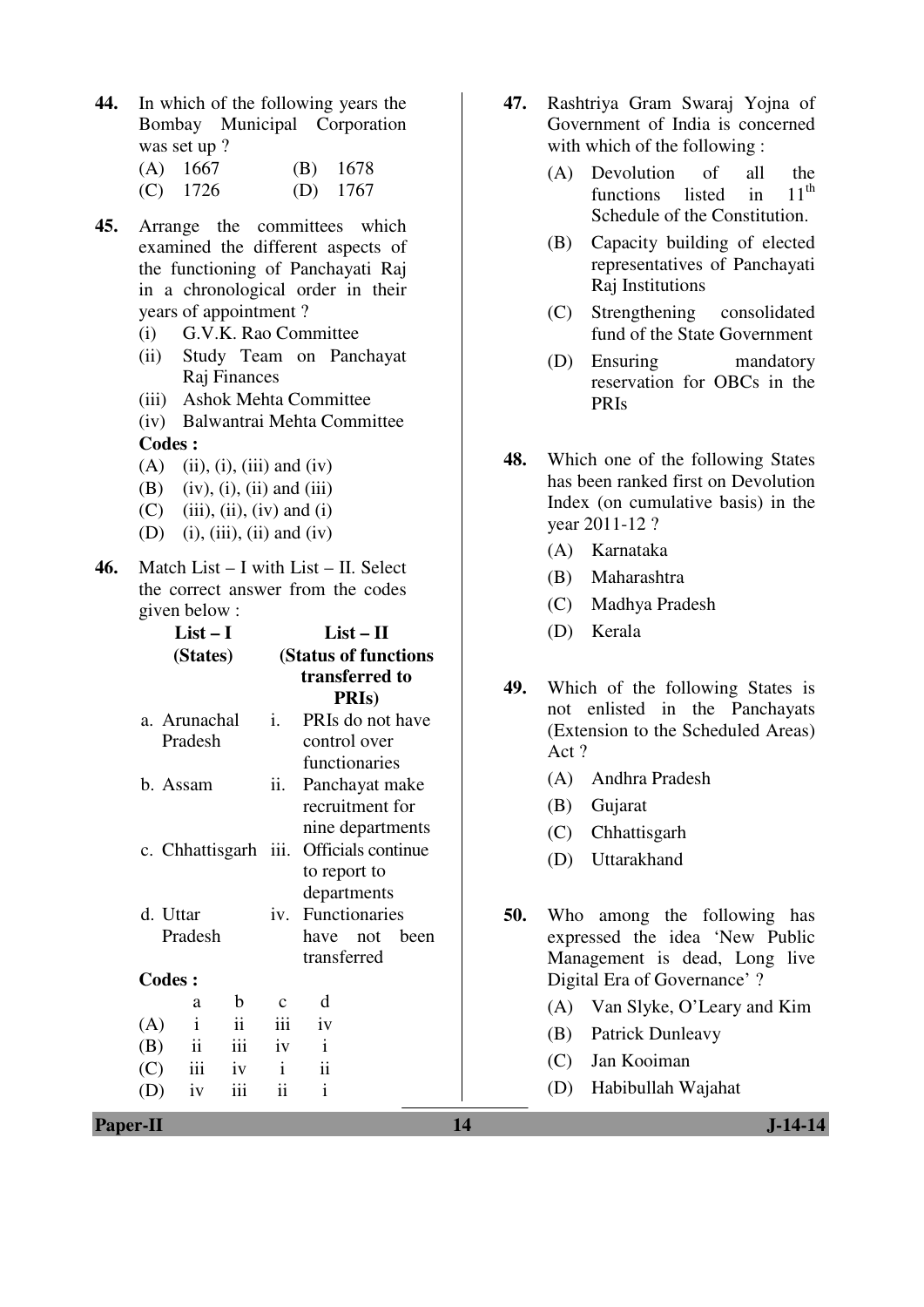**44.** In which of the following years the Bombay Municipal Corporation was set up ?

| $(A)$ 1667 | $(B)$ 1678 |
|------------|------------|
| $(C)$ 1726 | (D) $1767$ |

- **45.** Arrange the committees which examined the different aspects of the functioning of Panchayati Raj in a chronological order in their years of appointment ?
	- (i) G.V.K. Rao Committee
	- (ii) Study Team on Panchayat Raj Finances
	- (iii) Ashok Mehta Committee
	- (iv) Balwantrai Mehta Committee **Codes :**
	- $(A)$  (ii), (i), (iii) and (iv)
	- $(B)$  (iv), (i), (ii) and (iii)
	- $(C)$  (iii), (ii), (iv) and (i)
	- (D) (i), (iii), (ii) and (iv)
- **46.** Match List I with List II. Select the correct answer from the codes given below :

| $List-I$<br>(States)    |                     | $List - II$<br>(Status of functions<br>transferred to<br><b>PRIs</b> ) |                                                       |  |  |
|-------------------------|---------------------|------------------------------------------------------------------------|-------------------------------------------------------|--|--|
| a. Arunachal<br>Pradesh |                     | i.                                                                     | PRIs do not have<br>control over<br>functionaries     |  |  |
| b. Assam                |                     | ii.                                                                    | Panchayat make<br>recruitment for<br>nine departments |  |  |
| c. Chhattisgarh iii.    |                     |                                                                        | Officials continue<br>to report to<br>departments     |  |  |
| d. Uttar<br>Pradesh     |                     | iv.                                                                    | Functionaries<br>have not been<br>transferred         |  |  |
| <b>Codes:</b>           |                     |                                                                        |                                                       |  |  |
| a                       | b                   | $\mathbf c$                                                            | d                                                     |  |  |
| $\mathbf{i}$<br>(A)     | $\ddot{\mathbf{i}}$ | iii                                                                    | iv                                                    |  |  |
| ii<br>(B)               | iii                 | iv                                                                     | $\mathbf{i}$                                          |  |  |
| iii<br>(C)              | iv                  | $\mathbf{i}$                                                           | $\ddot{\mathbf{i}}$                                   |  |  |
| iv                      | iii                 | ii                                                                     | $\mathbf{i}$                                          |  |  |

- **47.** Rashtriya Gram Swaraj Yojna of Government of India is concerned with which of the following :
	- (A) Devolution of all the functions listed in  $11<sup>th</sup>$ Schedule of the Constitution.
	- (B) Capacity building of elected representatives of Panchayati Raj Institutions
	- (C) Strengthening consolidated fund of the State Government
	- (D) Ensuring mandatory reservation for OBCs in the PRIs
- **48.** Which one of the following States has been ranked first on Devolution Index (on cumulative basis) in the year 2011-12 ?
	- (A) Karnataka
	- (B) Maharashtra
	- (C) Madhya Pradesh
	- (D) Kerala
- **49.** Which of the following States is not enlisted in the Panchayats (Extension to the Scheduled Areas) Act ?
	- (A) Andhra Pradesh
	- (B) Gujarat
	- (C) Chhattisgarh
	- (D) Uttarakhand

**50.** Who among the following has expressed the idea 'New Public Management is dead, Long live Digital Era of Governance' ?

- (A) Van Slyke, O'Leary and Kim
- (B) Patrick Dunleavy
- (C) Jan Kooiman
- (D) Habibullah Wajahat

**Paper-II** J-14-14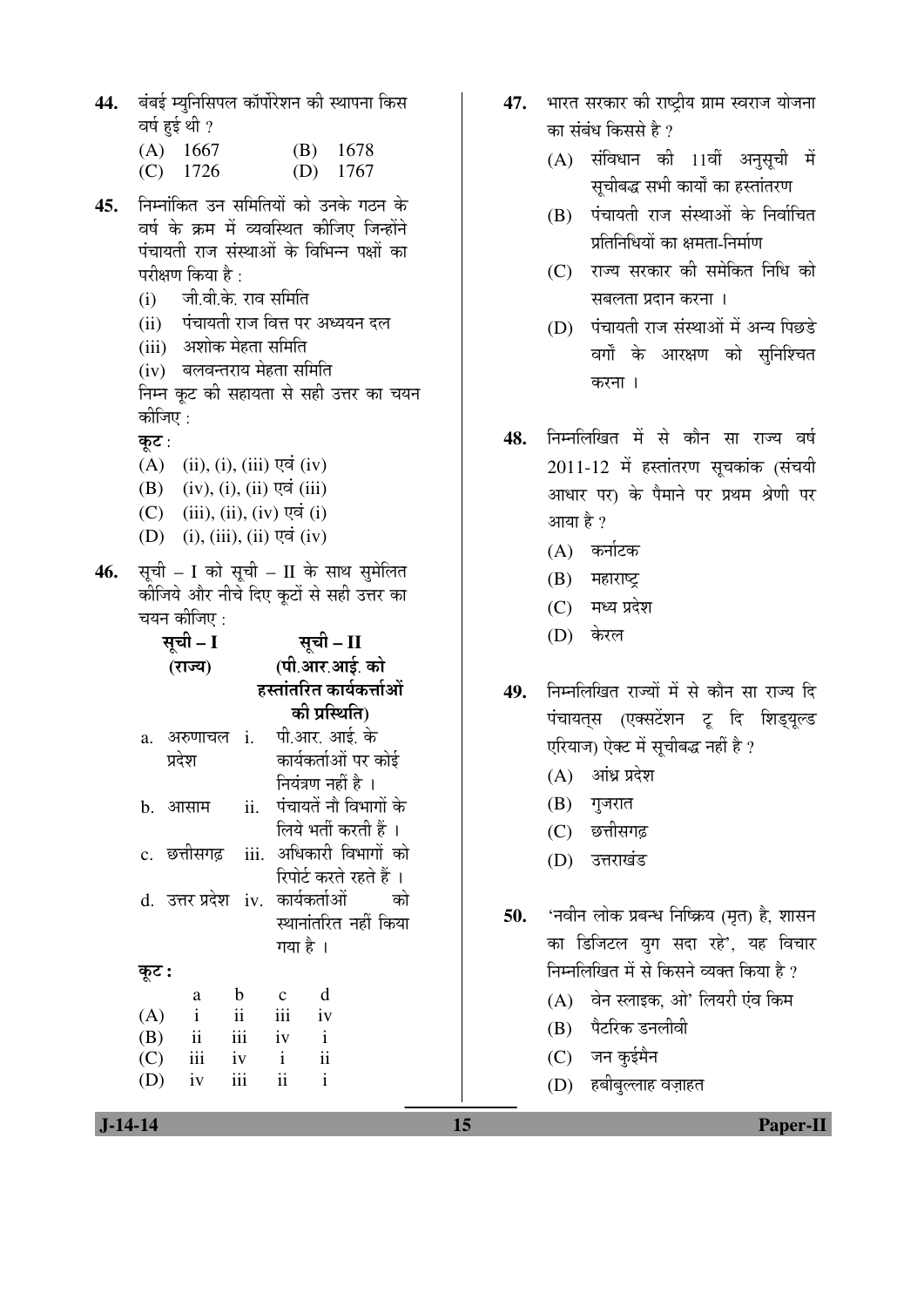44. बंबई म्युनिसिपल कॉर्पोरेशन की स्थापना किस वर्ष हुई थी $\,$  ?

| $(A)$ 1667 | $(B)$ 1678 |
|------------|------------|
| $(C)$ 1726 | (D) $1767$ |

- 45. निम्नांकित उन समितियों को उनके गठन के वर्ष के क्रम में व्यवस्थित कीजिए जिन्होंने पंचायती राज संस्थाओं के विभिन्न पक्षों का परीक्षण किया है $\cdot$ 
	- (i) जी.वी.के. राव समिति
	- (ii) पंचायती राज वित्त पर अध्ययन दल
	- (iii) अशोक मेहता समिति
	- (iv) बलवन्तराय मेहता समिति

निम्न कूट की सहायता से सही उत्तर का चयन कीजिए $\cdot$ 

कूट:

- $(A)$  (ii), (i), (iii) एवं (iv)
- $(B)$   $(iv)$ ,  $(i)$ ,  $(ii)$   $\nabla \vec{a}$   $(iii)$
- $(C)$  (iii), (ii), (iv) एवं (i)
- $(D)$  (i), (iii), (ii) एवं (iv)
- 46. सूची I को सूची II के साथ सुमेलित कोजिये और नीचे दिए कूटों से सही उत्तर का चयन कीजिए :

|       | सूची – I            |             |                     | सूची – II             |                                      |
|-------|---------------------|-------------|---------------------|-----------------------|--------------------------------------|
|       | (राज्य)             |             | (पी.आर.आई. को       |                       |                                      |
|       |                     |             |                     |                       | हस्तांतरित कार्यकर्त्ताओं            |
|       |                     |             |                     | की प्रस्थिति)         |                                      |
|       | a. अरुणाचल i.       |             |                     | पी.आर. आई. के         |                                      |
|       | प्रदेश              |             |                     |                       | कार्यकर्ताओं पर कोई                  |
|       |                     |             |                     | नियंत्रण नहीं है ।    |                                      |
| b.    | आसाम                | ii.         |                     |                       | पंचायतें नौ विभागों के               |
|       |                     |             |                     | लिये भर्ती करती हैं । |                                      |
|       |                     |             |                     |                       | c. छत्तीसगढ़ iii. अधिकारी विभागों को |
|       |                     |             |                     |                       | रिपोर्ट करते रहते हैं ।              |
|       | d. उत्तर प्रदेश iv. |             |                     |                       | कार्यकर्ताओं को                      |
|       |                     |             |                     |                       | स्थानांतरित नहीं किया                |
|       |                     |             | गया है ।            |                       |                                      |
| कूट : |                     |             |                     |                       |                                      |
|       | a                   | $\mathbf b$ | $\mathbf{c}$        | d                     |                                      |
| (A)   | $\mathbf{i}$        | ii          | iii                 | iv                    |                                      |
| (B)   | $\ddot{\mathbf{i}}$ | iii         | iv                  | $\mathbf{i}$          |                                      |
| (C)   | iii                 | iv          | $\mathbf{i}$        | ii                    |                                      |
| (D)   | iv                  | iii         | $\ddot{\mathbf{i}}$ | $\mathbf{i}$          |                                      |

- 47. भारत सरकार की राष्ट्रीय ग्राम स्वराज योजना का संबंध किससे है $\overline{v}$ 
	- $(A)$  संविधान की 11वीं अनुसूची में सूचीबद्ध सभी कार्यों का हस्तांतरण
	- $(B)$  पंचायती राज संस्थाओं के निर्वाचित प्रतिनिधियों का क्षमता-निर्माण
	- (C) राज्य सरकार की समेकित निधि को सबलता प्रदान करना ।
	- (D) पंचायती राज संस्थाओं में अन्य पिछडे वर्गों के आरक्षण को सुनिश्चित करना ।
- 48. निम्नलिखित में से कौन सा राज्य वर्ष  $2011-12$  में हस्तांतरण सुचकांक (संचयी आधार पर) के पैमाने पर प्रथम श्रेणी पर आया है ?
	- $(A)$  कर्नाटक
	- $(B)$  महाराष्ट्र
	- $(C)$  मध्य प्रदेश
	- (D) केरल
- 49. निम्नलिखित राज्यों में से कौन सा राज्य दि पंचायत्स (एक्सटेंशन टू दि शिड्यूल्ड एरियाज) ऐक्ट में सुचीबद्ध नहीं है ?
	- $(A)$  आंध्र प्रदेश
	- $(B)$  गुजरात
	- (C) छत्तीसगढ
	- (D) उत्तराखंड

50. **'नवीन लोक प्रबन्ध निष्क्रिय (मृत) है,** शासन का डिजिटल युग सदा रहे', यह विचार निम्नलिखित में से किसने व्यक्त किया है ?

- (A) वेन स्लाइक, ओ' लियरी एंव किम
- $(B)$  पैटरिक डनलीवी
- $(C)$  जन कुईमैन
- (D) हबीबुल्लाह वज़ाहत

 **J-14-14 15 Paper-II**